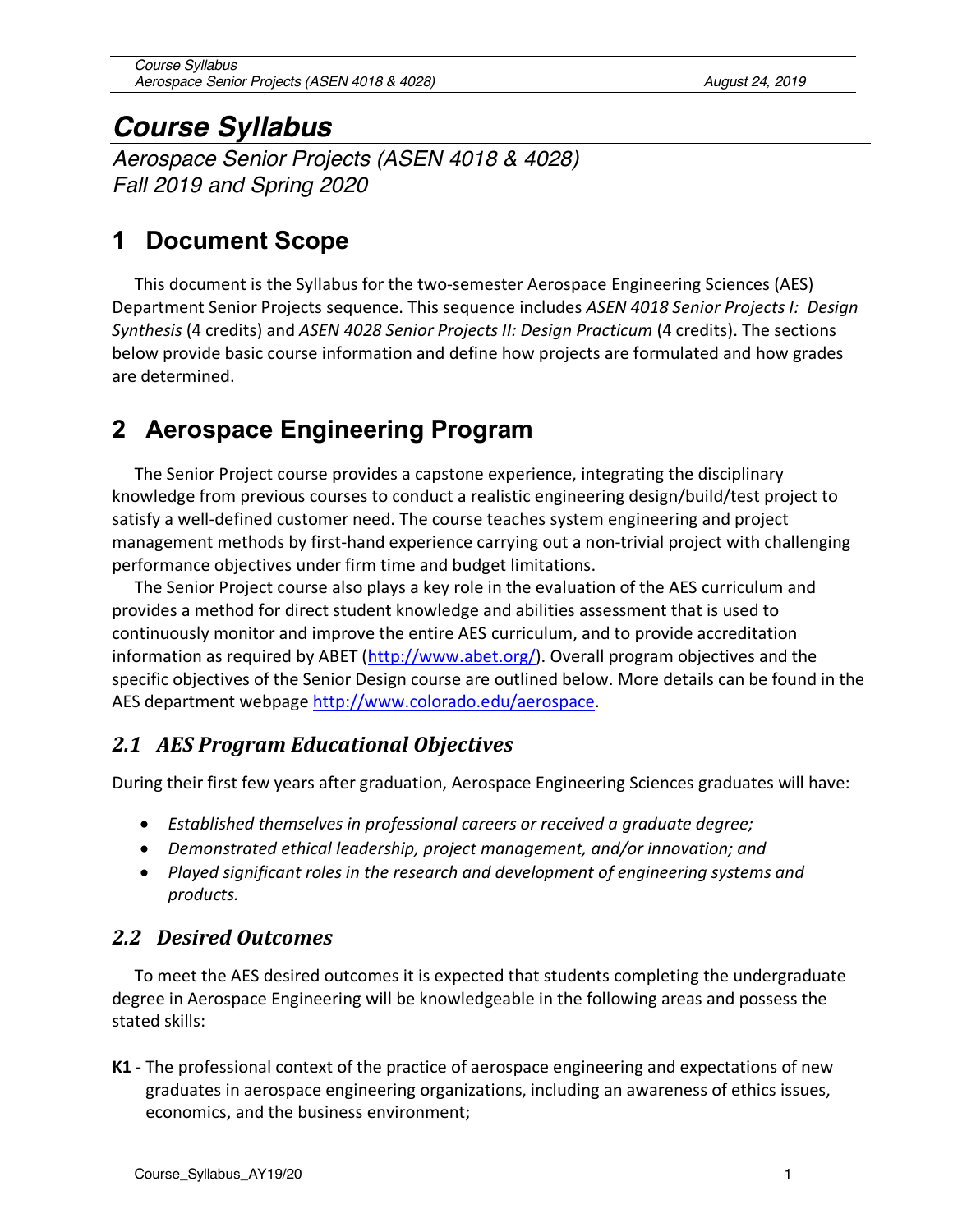# *Course Syllabus*

*Aerospace Senior Projects (ASEN 4018 & 4028) Fall 2019 and Spring 2020*

# **1 Document Scope**

This document is the Syllabus for the two-semester Aerospace Engineering Sciences (AES) Department Senior Projects sequence. This sequence includes *ASEN 4018 Senior Projects I: Design Synthesis* (4 credits) and *ASEN 4028 Senior Projects II: Design Practicum* (4 credits). The sections below provide basic course information and define how projects are formulated and how grades are determined.

# **2 Aerospace Engineering Program**

The Senior Project course provides a capstone experience, integrating the disciplinary knowledge from previous courses to conduct a realistic engineering design/build/test project to satisfy a well-defined customer need. The course teaches system engineering and project management methods by first-hand experience carrying out a non-trivial project with challenging performance objectives under firm time and budget limitations.

The Senior Project course also plays a key role in the evaluation of the AES curriculum and provides a method for direct student knowledge and abilities assessment that is used to continuously monitor and improve the entire AES curriculum, and to provide accreditation information as required by ABET (http://www.abet.org/). Overall program objectives and the specific objectives of the Senior Design course are outlined below. More details can be found in the AES department webpage http://www.colorado.edu/aerospace.

# *2.1 AES Program Educational Objectives*

During their first few years after graduation, Aerospace Engineering Sciences graduates will have:

- *Established themselves in professional careers or received a graduate degree;*
- *Demonstrated ethical leadership, project management, and/or innovation; and*
- *Played significant roles in the research and development of engineering systems and products.*

# *2.2 Desired Outcomes*

To meet the AES desired outcomes it is expected that students completing the undergraduate degree in Aerospace Engineering will be knowledgeable in the following areas and possess the stated skills:

**K1** - The professional context of the practice of aerospace engineering and expectations of new graduates in aerospace engineering organizations, including an awareness of ethics issues, economics, and the business environment;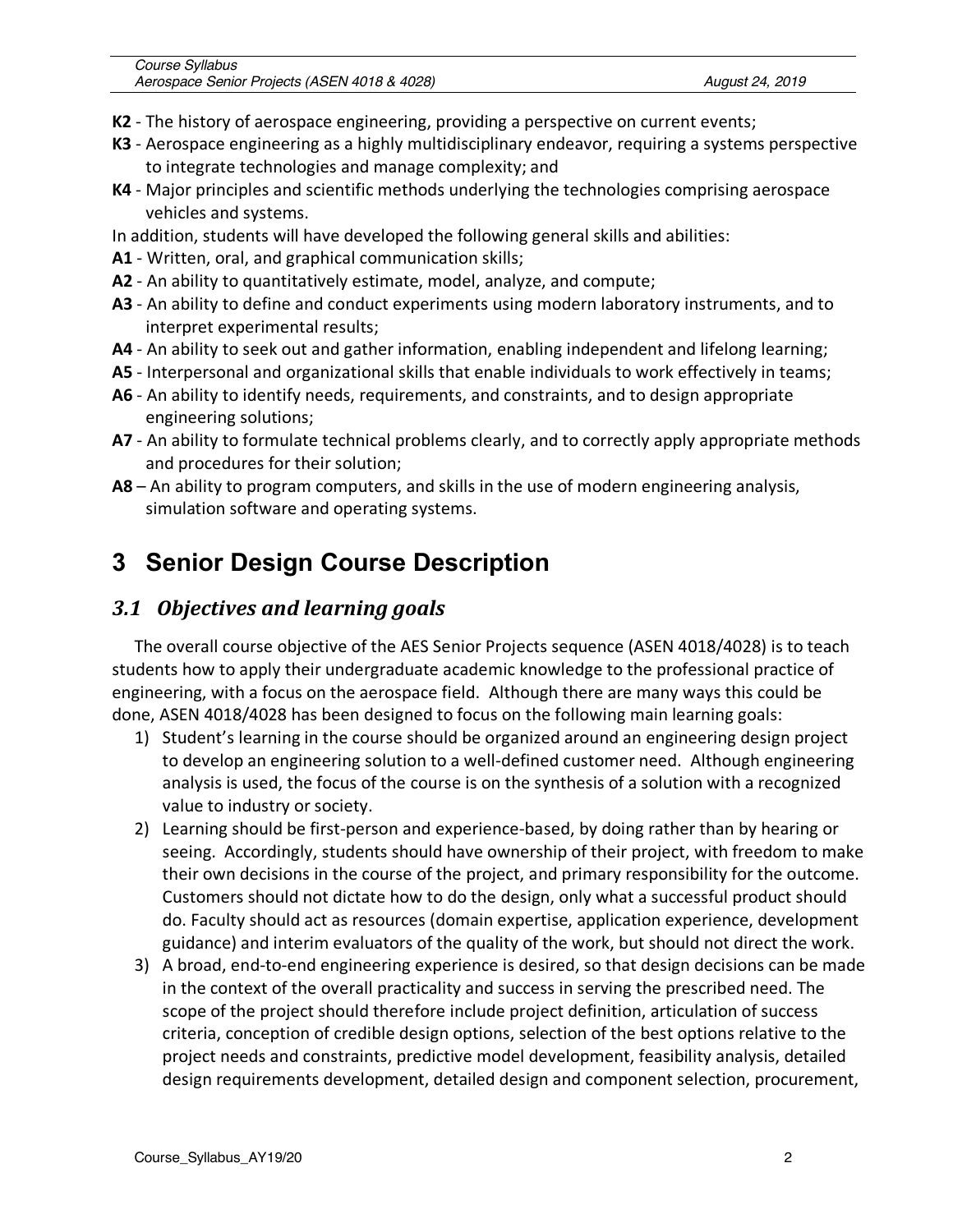- **K2** The history of aerospace engineering, providing a perspective on current events;
- **K3** Aerospace engineering as a highly multidisciplinary endeavor, requiring a systems perspective to integrate technologies and manage complexity; and
- **K4** Major principles and scientific methods underlying the technologies comprising aerospace vehicles and systems.
- In addition, students will have developed the following general skills and abilities:
- **A1** Written, oral, and graphical communication skills;
- **A2** An ability to quantitatively estimate, model, analyze, and compute;
- **A3** An ability to define and conduct experiments using modern laboratory instruments, and to interpret experimental results;
- **A4** An ability to seek out and gather information, enabling independent and lifelong learning;
- **A5** Interpersonal and organizational skills that enable individuals to work effectively in teams;
- **A6** An ability to identify needs, requirements, and constraints, and to design appropriate engineering solutions;
- **A7** An ability to formulate technical problems clearly, and to correctly apply appropriate methods and procedures for their solution;
- **A8** An ability to program computers, and skills in the use of modern engineering analysis, simulation software and operating systems.

# **3 Senior Design Course Description**

# *3.1 Objectives and learning goals*

The overall course objective of the AES Senior Projects sequence (ASEN 4018/4028) is to teach students how to apply their undergraduate academic knowledge to the professional practice of engineering, with a focus on the aerospace field. Although there are many ways this could be done, ASEN 4018/4028 has been designed to focus on the following main learning goals:

- 1) Student's learning in the course should be organized around an engineering design project to develop an engineering solution to a well-defined customer need. Although engineering analysis is used, the focus of the course is on the synthesis of a solution with a recognized value to industry or society.
- 2) Learning should be first-person and experience-based, by doing rather than by hearing or seeing. Accordingly, students should have ownership of their project, with freedom to make their own decisions in the course of the project, and primary responsibility for the outcome. Customers should not dictate how to do the design, only what a successful product should do. Faculty should act as resources (domain expertise, application experience, development guidance) and interim evaluators of the quality of the work, but should not direct the work.
- 3) A broad, end-to-end engineering experience is desired, so that design decisions can be made in the context of the overall practicality and success in serving the prescribed need. The scope of the project should therefore include project definition, articulation of success criteria, conception of credible design options, selection of the best options relative to the project needs and constraints, predictive model development, feasibility analysis, detailed design requirements development, detailed design and component selection, procurement,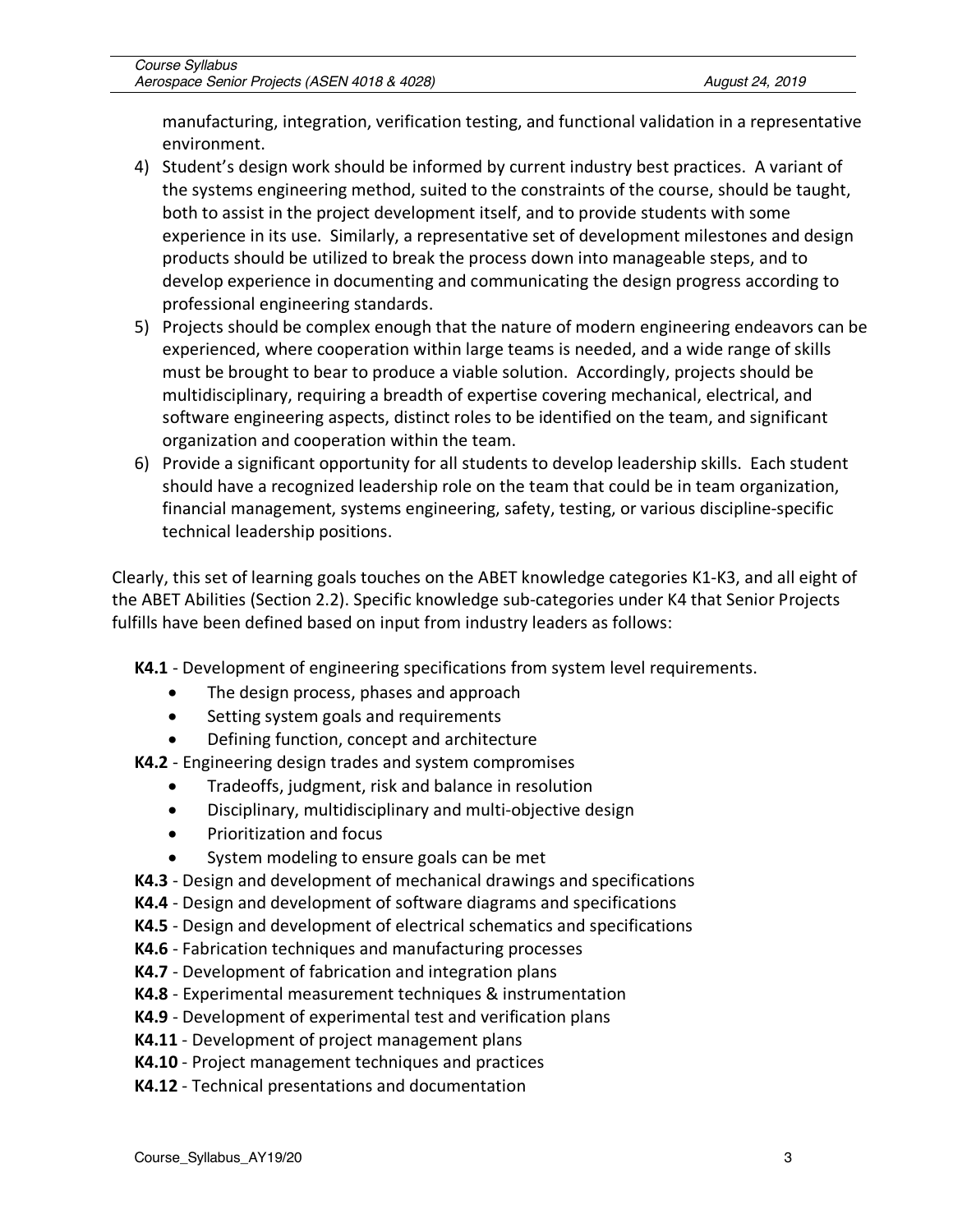manufacturing, integration, verification testing, and functional validation in a representative environment.

- 4) Student's design work should be informed by current industry best practices. A variant of the systems engineering method, suited to the constraints of the course, should be taught, both to assist in the project development itself, and to provide students with some experience in its use. Similarly, a representative set of development milestones and design products should be utilized to break the process down into manageable steps, and to develop experience in documenting and communicating the design progress according to professional engineering standards.
- 5) Projects should be complex enough that the nature of modern engineering endeavors can be experienced, where cooperation within large teams is needed, and a wide range of skills must be brought to bear to produce a viable solution. Accordingly, projects should be multidisciplinary, requiring a breadth of expertise covering mechanical, electrical, and software engineering aspects, distinct roles to be identified on the team, and significant organization and cooperation within the team.
- 6) Provide a significant opportunity for all students to develop leadership skills. Each student should have a recognized leadership role on the team that could be in team organization, financial management, systems engineering, safety, testing, or various discipline-specific technical leadership positions.

Clearly, this set of learning goals touches on the ABET knowledge categories K1-K3, and all eight of the ABET Abilities (Section 2.2). Specific knowledge sub-categories under K4 that Senior Projects fulfills have been defined based on input from industry leaders as follows:

- **K4.1** Development of engineering specifications from system level requirements.
	- The design process, phases and approach
	- Setting system goals and requirements
	- Defining function, concept and architecture
- **K4.2** Engineering design trades and system compromises
	- Tradeoffs, judgment, risk and balance in resolution
	- Disciplinary, multidisciplinary and multi-objective design
	- Prioritization and focus
	- System modeling to ensure goals can be met
- **K4.3** Design and development of mechanical drawings and specifications
- **K4.4** Design and development of software diagrams and specifications
- **K4.5** Design and development of electrical schematics and specifications
- **K4.6** Fabrication techniques and manufacturing processes
- **K4.7** Development of fabrication and integration plans
- **K4.8** Experimental measurement techniques & instrumentation
- **K4.9** Development of experimental test and verification plans
- **K4.11** Development of project management plans
- **K4.10** Project management techniques and practices
- **K4.12** Technical presentations and documentation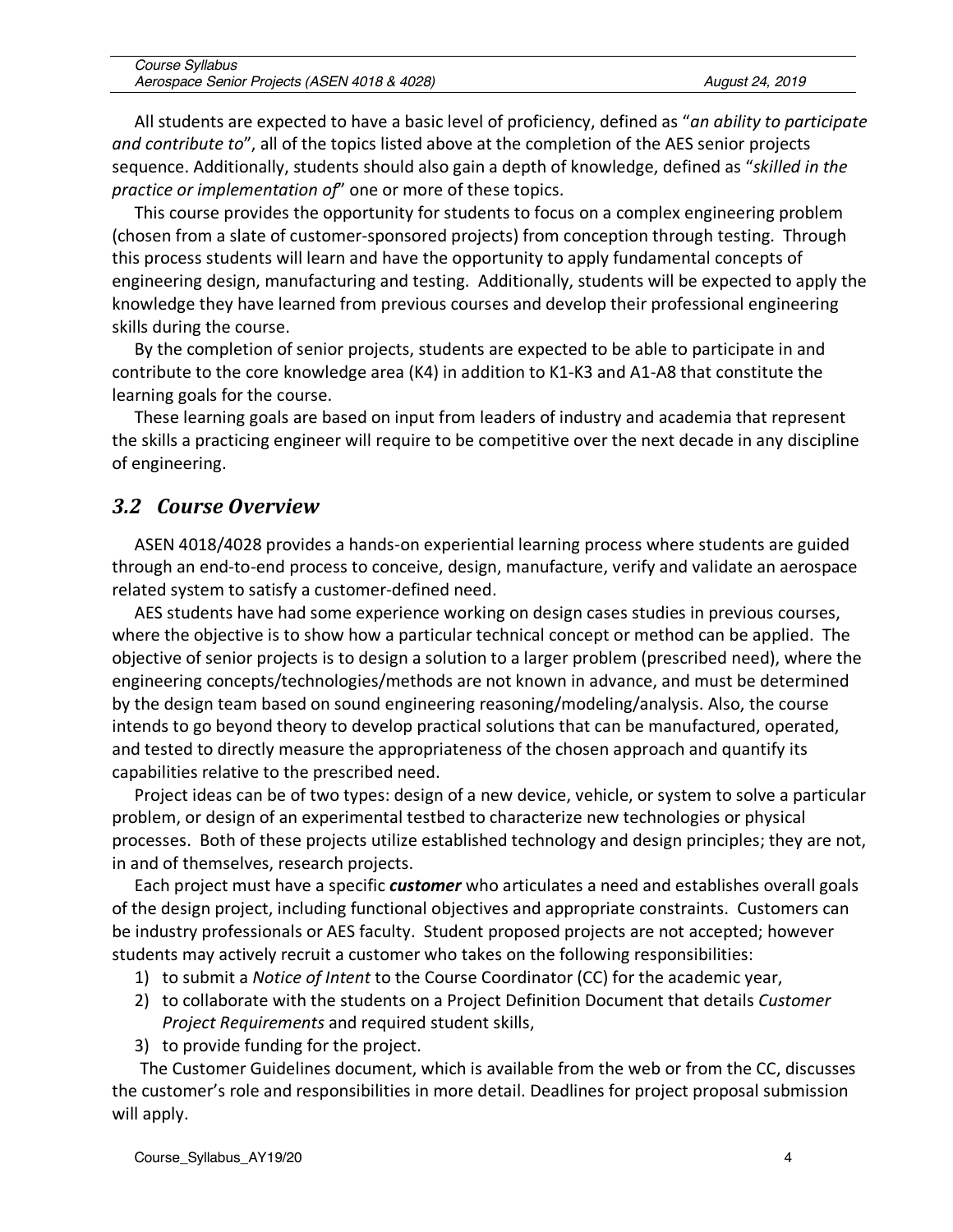| Course Syllabus                              |                 |
|----------------------------------------------|-----------------|
| Aerospace Senior Projects (ASEN 4018 & 4028) | August 24, 2019 |

All students are expected to have a basic level of proficiency, defined as "*an ability to participate and contribute to*", all of the topics listed above at the completion of the AES senior projects sequence. Additionally, students should also gain a depth of knowledge, defined as "*skilled in the practice or implementation of*" one or more of these topics.

This course provides the opportunity for students to focus on a complex engineering problem (chosen from a slate of customer-sponsored projects) from conception through testing. Through this process students will learn and have the opportunity to apply fundamental concepts of engineering design, manufacturing and testing. Additionally, students will be expected to apply the knowledge they have learned from previous courses and develop their professional engineering skills during the course.

By the completion of senior projects, students are expected to be able to participate in and contribute to the core knowledge area (K4) in addition to K1-K3 and A1-A8 that constitute the learning goals for the course.

These learning goals are based on input from leaders of industry and academia that represent the skills a practicing engineer will require to be competitive over the next decade in any discipline of engineering.

#### *3.2 Course Overview*

ASEN 4018/4028 provides a hands-on experiential learning process where students are guided through an end-to-end process to conceive, design, manufacture, verify and validate an aerospace related system to satisfy a customer-defined need.

AES students have had some experience working on design cases studies in previous courses, where the objective is to show how a particular technical concept or method can be applied. The objective of senior projects is to design a solution to a larger problem (prescribed need), where the engineering concepts/technologies/methods are not known in advance, and must be determined by the design team based on sound engineering reasoning/modeling/analysis. Also, the course intends to go beyond theory to develop practical solutions that can be manufactured, operated, and tested to directly measure the appropriateness of the chosen approach and quantify its capabilities relative to the prescribed need.

Project ideas can be of two types: design of a new device, vehicle, or system to solve a particular problem, or design of an experimental testbed to characterize new technologies or physical processes. Both of these projects utilize established technology and design principles; they are not, in and of themselves, research projects.

Each project must have a specific *customer* who articulates a need and establishes overall goals of the design project, including functional objectives and appropriate constraints. Customers can be industry professionals or AES faculty. Student proposed projects are not accepted; however students may actively recruit a customer who takes on the following responsibilities:

- 1) to submit a *Notice of Intent* to the Course Coordinator (CC) for the academic year,
- 2) to collaborate with the students on a Project Definition Document that details *Customer Project Requirements* and required student skills,
- 3) to provide funding for the project.

The Customer Guidelines document, which is available from the web or from the CC, discusses the customer's role and responsibilities in more detail. Deadlines for project proposal submission will apply.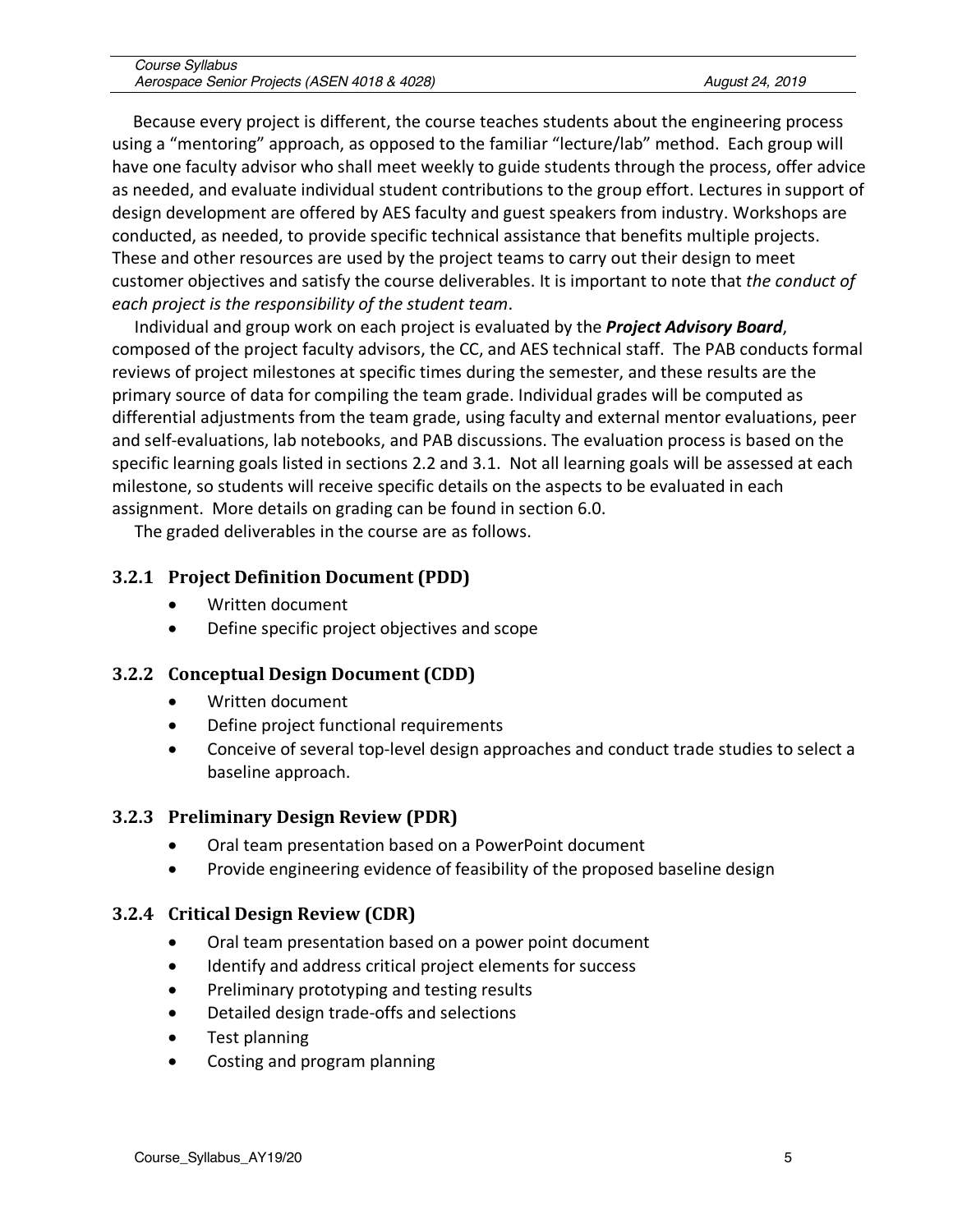| Course Syllabus                              |                 |
|----------------------------------------------|-----------------|
| Aerospace Senior Projects (ASEN 4018 & 4028) | August 24, 2019 |

Because every project is different, the course teaches students about the engineering process using a "mentoring" approach, as opposed to the familiar "lecture/lab" method. Each group will have one faculty advisor who shall meet weekly to guide students through the process, offer advice as needed, and evaluate individual student contributions to the group effort. Lectures in support of design development are offered by AES faculty and guest speakers from industry. Workshops are conducted, as needed, to provide specific technical assistance that benefits multiple projects. These and other resources are used by the project teams to carry out their design to meet customer objectives and satisfy the course deliverables. It is important to note that *the conduct of each project is the responsibility of the student team*.

Individual and group work on each project is evaluated by the *Project Advisory Board*, composed of the project faculty advisors, the CC, and AES technical staff. The PAB conducts formal reviews of project milestones at specific times during the semester, and these results are the primary source of data for compiling the team grade. Individual grades will be computed as differential adjustments from the team grade, using faculty and external mentor evaluations, peer and self-evaluations, lab notebooks, and PAB discussions. The evaluation process is based on the specific learning goals listed in sections 2.2 and 3.1. Not all learning goals will be assessed at each milestone, so students will receive specific details on the aspects to be evaluated in each assignment. More details on grading can be found in section 6.0.

The graded deliverables in the course are as follows.

#### **3.2.1 Project Definition Document (PDD)**

- Written document
- Define specific project objectives and scope

#### **3.2.2 Conceptual Design Document (CDD)**

- Written document
- Define project functional requirements
- Conceive of several top-level design approaches and conduct trade studies to select a baseline approach.

#### **3.2.3 Preliminary Design Review (PDR)**

- Oral team presentation based on a PowerPoint document
- Provide engineering evidence of feasibility of the proposed baseline design

#### **3.2.4 Critical Design Review (CDR)**

- Oral team presentation based on a power point document
- Identify and address critical project elements for success
- Preliminary prototyping and testing results
- Detailed design trade-offs and selections
- Test planning
- Costing and program planning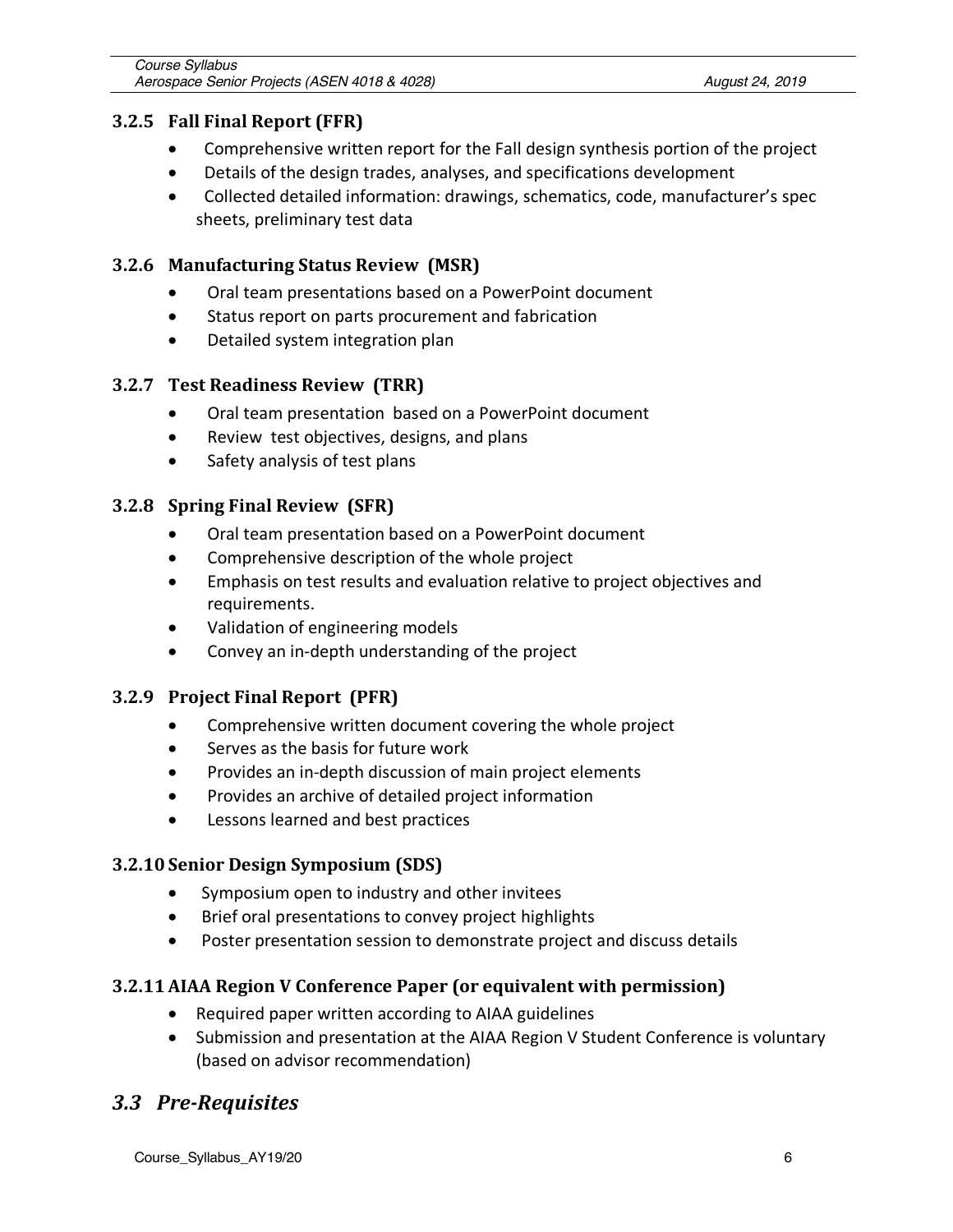#### **3.2.5** Fall Final Report (FFR)

- Comprehensive written report for the Fall design synthesis portion of the project
- Details of the design trades, analyses, and specifications development
- Collected detailed information: drawings, schematics, code, manufacturer's spec sheets, preliminary test data

#### **3.2.6 Manufacturing Status Review (MSR)**

- Oral team presentations based on a PowerPoint document
- Status report on parts procurement and fabrication
- Detailed system integration plan

#### **3.2.7 Test Readiness Review (TRR)**

- Oral team presentation based on a PowerPoint document
- Review test objectives, designs, and plans
- Safety analysis of test plans

#### **3.2.8 Spring Final Review (SFR)**

- Oral team presentation based on a PowerPoint document
- Comprehensive description of the whole project
- Emphasis on test results and evaluation relative to project objectives and requirements.
- Validation of engineering models
- Convey an in-depth understanding of the project

#### **3.2.9 Project Final Report (PFR)**

- Comprehensive written document covering the whole project
- Serves as the basis for future work
- Provides an in-depth discussion of main project elements
- Provides an archive of detailed project information
- Lessons learned and best practices

#### **3.2.10 Senior Design Symposium (SDS)**

- Symposium open to industry and other invitees
- Brief oral presentations to convey project highlights
- Poster presentation session to demonstrate project and discuss details

#### **3.2.11 AIAA Region V Conference Paper (or equivalent with permission)**

- Required paper written according to AIAA guidelines
- Submission and presentation at the AIAA Region V Student Conference is voluntary (based on advisor recommendation)

# *3.3 Pre-Requisites*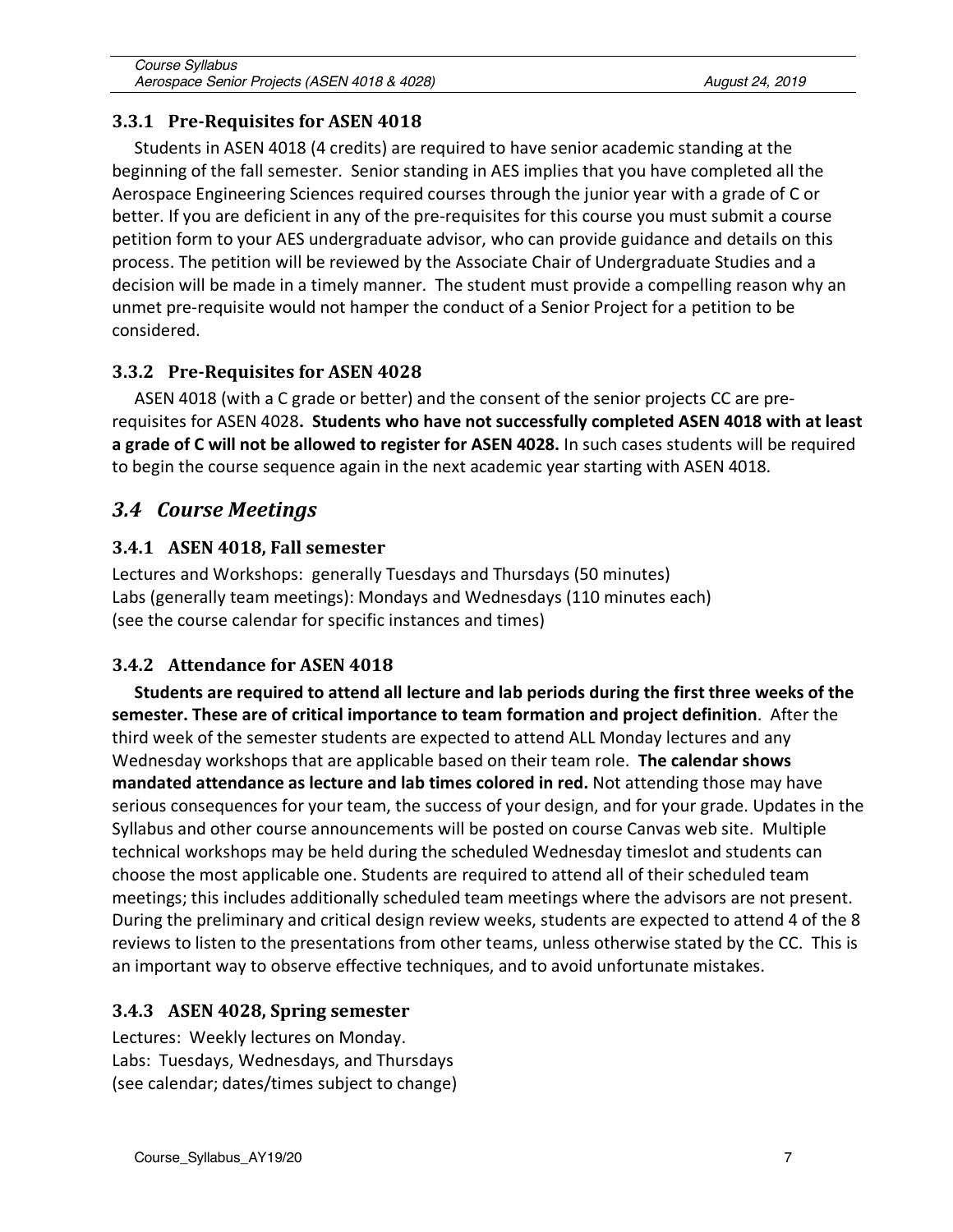#### **3.3.1 Pre-Requisites for ASEN 4018**

Students in ASEN 4018 (4 credits) are required to have senior academic standing at the beginning of the fall semester. Senior standing in AES implies that you have completed all the Aerospace Engineering Sciences required courses through the junior year with a grade of C or better. If you are deficient in any of the pre-requisites for this course you must submit a course petition form to your AES undergraduate advisor, who can provide guidance and details on this process. The petition will be reviewed by the Associate Chair of Undergraduate Studies and a decision will be made in a timely manner. The student must provide a compelling reason why an unmet pre-requisite would not hamper the conduct of a Senior Project for a petition to be considered.

### **3.3.2 Pre-Requisites for ASEN 4028**

ASEN 4018 (with a C grade or better) and the consent of the senior projects CC are prerequisites for ASEN 4028**. Students who have not successfully completed ASEN 4018 with at least a grade of C will not be allowed to register for ASEN 4028.** In such cases students will be required to begin the course sequence again in the next academic year starting with ASEN 4018.

# *3.4 Course Meetings*

### **3.4.1 ASEN 4018, Fall semester**

Lectures and Workshops: generally Tuesdays and Thursdays (50 minutes) Labs (generally team meetings): Mondays and Wednesdays (110 minutes each) (see the course calendar for specific instances and times)

# **3.4.2** Attendance for ASEN 4018

**Students are required to attend all lecture and lab periods during the first three weeks of the semester. These are of critical importance to team formation and project definition**. After the third week of the semester students are expected to attend ALL Monday lectures and any Wednesday workshops that are applicable based on their team role. **The calendar shows mandated attendance as lecture and lab times colored in red.** Not attending those may have serious consequences for your team, the success of your design, and for your grade. Updates in the Syllabus and other course announcements will be posted on course Canvas web site. Multiple technical workshops may be held during the scheduled Wednesday timeslot and students can choose the most applicable one. Students are required to attend all of their scheduled team meetings; this includes additionally scheduled team meetings where the advisors are not present. During the preliminary and critical design review weeks, students are expected to attend 4 of the 8 reviews to listen to the presentations from other teams, unless otherwise stated by the CC. This is an important way to observe effective techniques, and to avoid unfortunate mistakes.

#### **3.4.3 ASEN 4028, Spring semester**

Lectures: Weekly lectures on Monday. Labs: Tuesdays, Wednesdays, and Thursdays (see calendar; dates/times subject to change)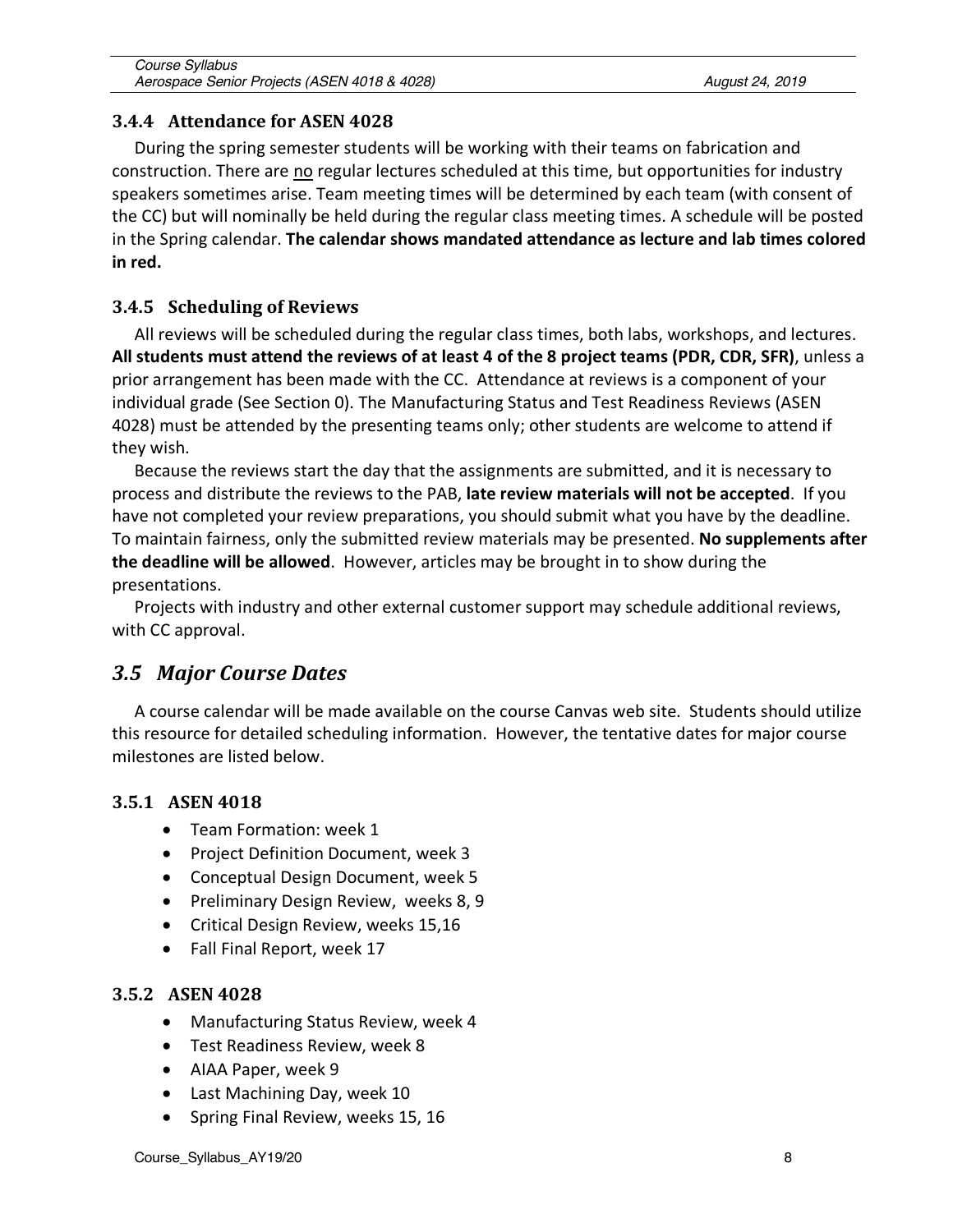#### **3.4.4** Attendance for ASEN 4028

During the spring semester students will be working with their teams on fabrication and construction. There are no regular lectures scheduled at this time, but opportunities for industry speakers sometimes arise. Team meeting times will be determined by each team (with consent of the CC) but will nominally be held during the regular class meeting times. A schedule will be posted in the Spring calendar. **The calendar shows mandated attendance as lecture and lab times colored in red.**

#### **3.4.5 Scheduling of Reviews**

All reviews will be scheduled during the regular class times, both labs, workshops, and lectures. **All students must attend the reviews of at least 4 of the 8 project teams (PDR, CDR, SFR)**, unless a prior arrangement has been made with the CC. Attendance at reviews is a component of your individual grade (See Section 0). The Manufacturing Status and Test Readiness Reviews (ASEN 4028) must be attended by the presenting teams only; other students are welcome to attend if they wish.

Because the reviews start the day that the assignments are submitted, and it is necessary to process and distribute the reviews to the PAB, **late review materials will not be accepted**. If you have not completed your review preparations, you should submit what you have by the deadline. To maintain fairness, only the submitted review materials may be presented. **No supplements after the deadline will be allowed**. However, articles may be brought in to show during the presentations.

Projects with industry and other external customer support may schedule additional reviews, with CC approval.

# *3.5 Major Course Dates*

A course calendar will be made available on the course Canvas web site. Students should utilize this resource for detailed scheduling information. However, the tentative dates for major course milestones are listed below.

#### **3.5.1 ASEN 4018**

- Team Formation: week 1
- Project Definition Document, week 3
- Conceptual Design Document, week 5
- Preliminary Design Review, weeks 8, 9
- Critical Design Review, weeks 15,16
- Fall Final Report, week 17

#### **3.5.2 ASEN 4028**

- Manufacturing Status Review, week 4
- Test Readiness Review, week 8
- AIAA Paper, week 9
- Last Machining Day, week 10
- Spring Final Review, weeks 15, 16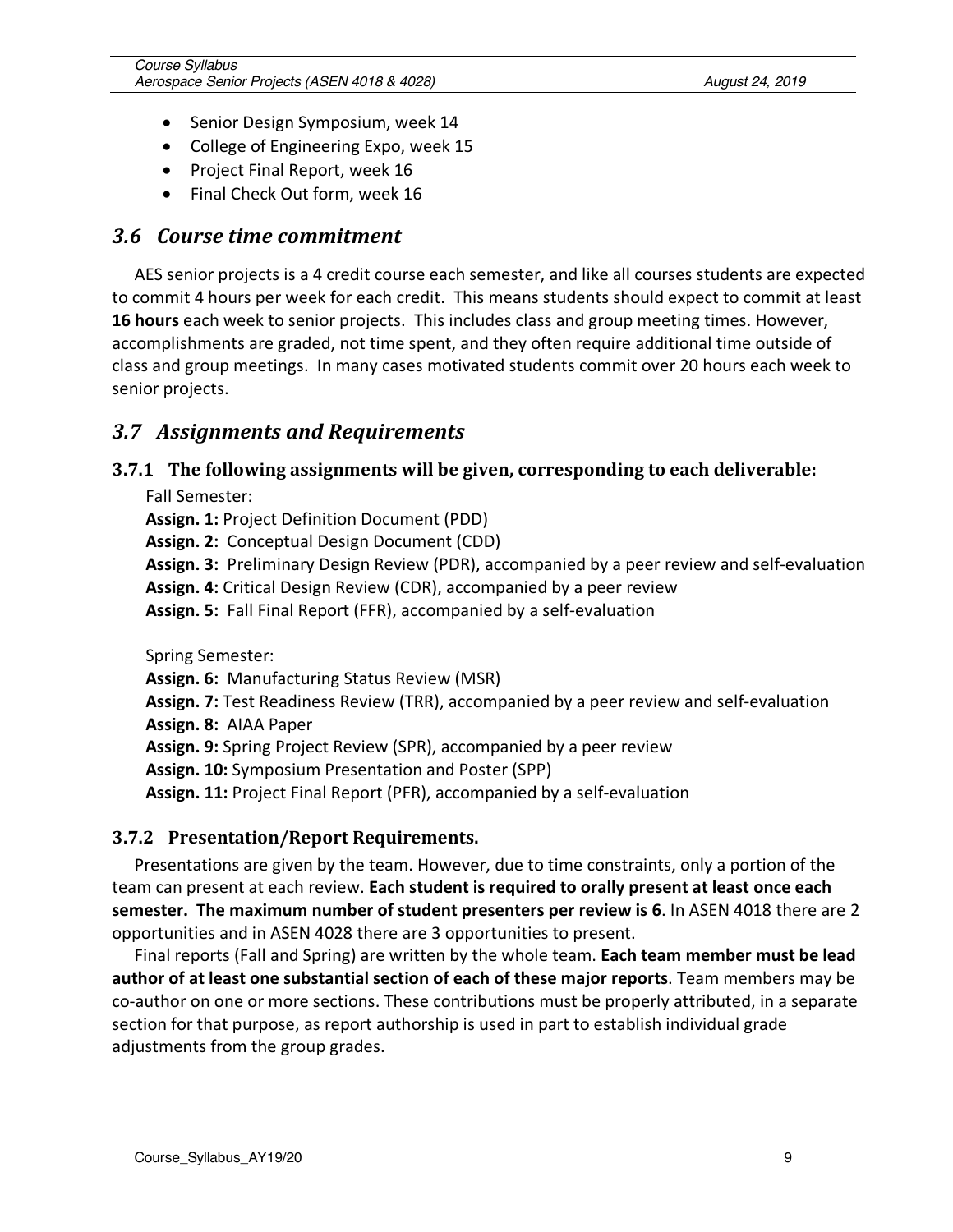- Senior Design Symposium, week 14
- College of Engineering Expo, week 15
- Project Final Report, week 16
- Final Check Out form, week 16

#### *3.6 Course time commitment*

AES senior projects is a 4 credit course each semester, and like all courses students are expected to commit 4 hours per week for each credit. This means students should expect to commit at least **16 hours** each week to senior projects. This includes class and group meeting times. However, accomplishments are graded, not time spent, and they often require additional time outside of class and group meetings. In many cases motivated students commit over 20 hours each week to senior projects.

#### *3.7 Assignments and Requirements*

#### **3.7.1** The following assignments will be given, corresponding to each deliverable:

Fall Semester:

**Assign. 1:** Project Definition Document (PDD)

**Assign. 2:** Conceptual Design Document (CDD)

**Assign. 3:** Preliminary Design Review (PDR), accompanied by a peer review and self-evaluation

**Assign. 4:** Critical Design Review (CDR), accompanied by a peer review

**Assign. 5:** Fall Final Report (FFR), accompanied by a self-evaluation

Spring Semester:

**Assign. 6:** Manufacturing Status Review (MSR)

**Assign. 7:** Test Readiness Review (TRR), accompanied by a peer review and self-evaluation **Assign. 8:** AIAA Paper

**Assign. 9:** Spring Project Review (SPR), accompanied by a peer review

**Assign. 10:** Symposium Presentation and Poster (SPP)

**Assign. 11:** Project Final Report (PFR), accompanied by a self-evaluation

#### **3.7.2 Presentation/Report Requirements.**

Presentations are given by the team. However, due to time constraints, only a portion of the team can present at each review. **Each student is required to orally present at least once each semester. The maximum number of student presenters per review is 6**. In ASEN 4018 there are 2 opportunities and in ASEN 4028 there are 3 opportunities to present.

Final reports (Fall and Spring) are written by the whole team. **Each team member must be lead author of at least one substantial section of each of these major reports**. Team members may be co-author on one or more sections. These contributions must be properly attributed, in a separate section for that purpose, as report authorship is used in part to establish individual grade adjustments from the group grades.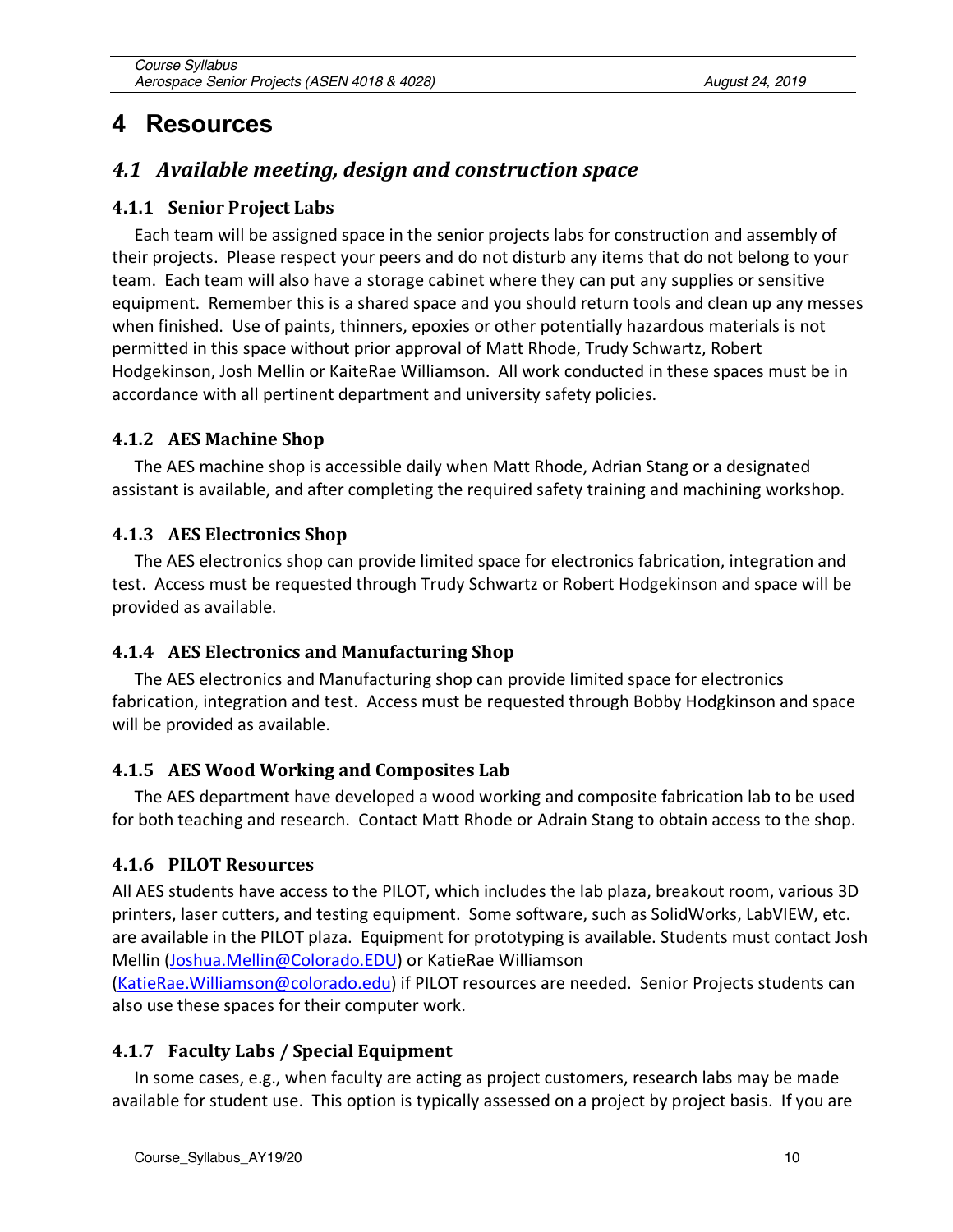# **4 Resources**

# **4.1** Available meeting, design and construction space

#### **4.1.1 Senior Project Labs**

Each team will be assigned space in the senior projects labs for construction and assembly of their projects. Please respect your peers and do not disturb any items that do not belong to your team. Each team will also have a storage cabinet where they can put any supplies or sensitive equipment. Remember this is a shared space and you should return tools and clean up any messes when finished. Use of paints, thinners, epoxies or other potentially hazardous materials is not permitted in this space without prior approval of Matt Rhode, Trudy Schwartz, Robert Hodgekinson, Josh Mellin or KaiteRae Williamson. All work conducted in these spaces must be in accordance with all pertinent department and university safety policies.

#### **4.1.2 AES Machine Shop**

The AES machine shop is accessible daily when Matt Rhode, Adrian Stang or a designated assistant is available, and after completing the required safety training and machining workshop.

#### **4.1.3 AES Electronics Shop**

The AES electronics shop can provide limited space for electronics fabrication, integration and test. Access must be requested through Trudy Schwartz or Robert Hodgekinson and space will be provided as available.

#### **4.1.4 AES Electronics and Manufacturing Shop**

The AES electronics and Manufacturing shop can provide limited space for electronics fabrication, integration and test. Access must be requested through Bobby Hodgkinson and space will be provided as available.

#### **4.1.5 AES Wood Working and Composites Lab**

The AES department have developed a wood working and composite fabrication lab to be used for both teaching and research. Contact Matt Rhode or Adrain Stang to obtain access to the shop.

#### **4.1.6 PILOT Resources**

All AES students have access to the PILOT, which includes the lab plaza, breakout room, various 3D printers, laser cutters, and testing equipment. Some software, such as SolidWorks, LabVIEW, etc. are available in the PILOT plaza. Equipment for prototyping is available. Students must contact Josh Mellin (Joshua.Mellin@Colorado.EDU) or KatieRae Williamson

(KatieRae.Williamson@colorado.edu) if PILOT resources are needed. Senior Projects students can also use these spaces for their computer work.

#### **4.1.7 Faculty Labs / Special Equipment**

In some cases, e.g., when faculty are acting as project customers, research labs may be made available for student use. This option is typically assessed on a project by project basis. If you are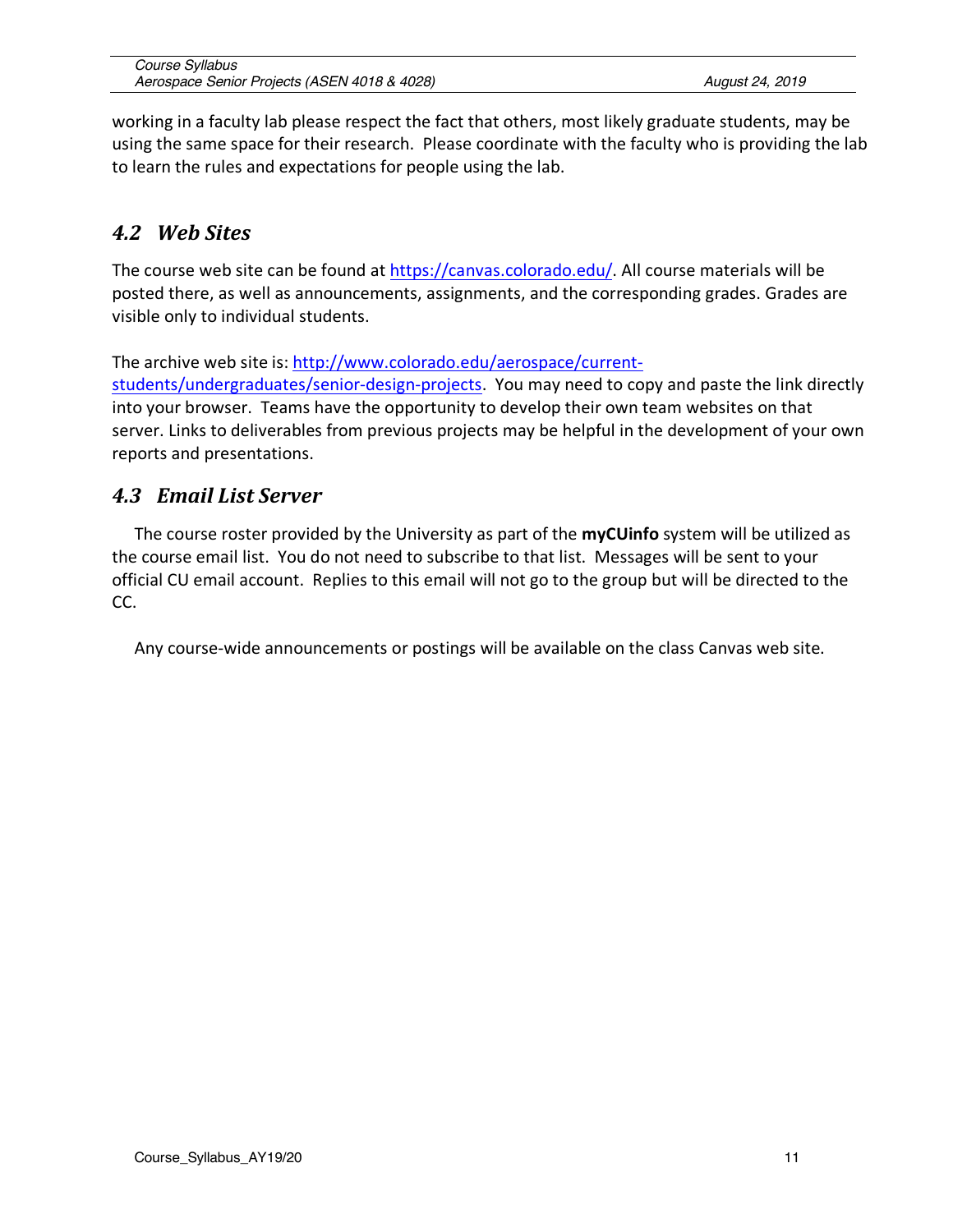working in a faculty lab please respect the fact that others, most likely graduate students, may be using the same space for their research. Please coordinate with the faculty who is providing the lab to learn the rules and expectations for people using the lab.

# *4.2 Web Sites*

The course web site can be found at https://canvas.colorado.edu/. All course materials will be posted there, as well as announcements, assignments, and the corresponding grades. Grades are visible only to individual students.

The archive web site is: http://www.colorado.edu/aerospace/current-

students/undergraduates/senior-design-projects. You may need to copy and paste the link directly into your browser. Teams have the opportunity to develop their own team websites on that server. Links to deliverables from previous projects may be helpful in the development of your own reports and presentations.

# *4.3 Email List Server*

The course roster provided by the University as part of the **myCUinfo** system will be utilized as the course email list. You do not need to subscribe to that list. Messages will be sent to your official CU email account. Replies to this email will not go to the group but will be directed to the CC.

Any course-wide announcements or postings will be available on the class Canvas web site.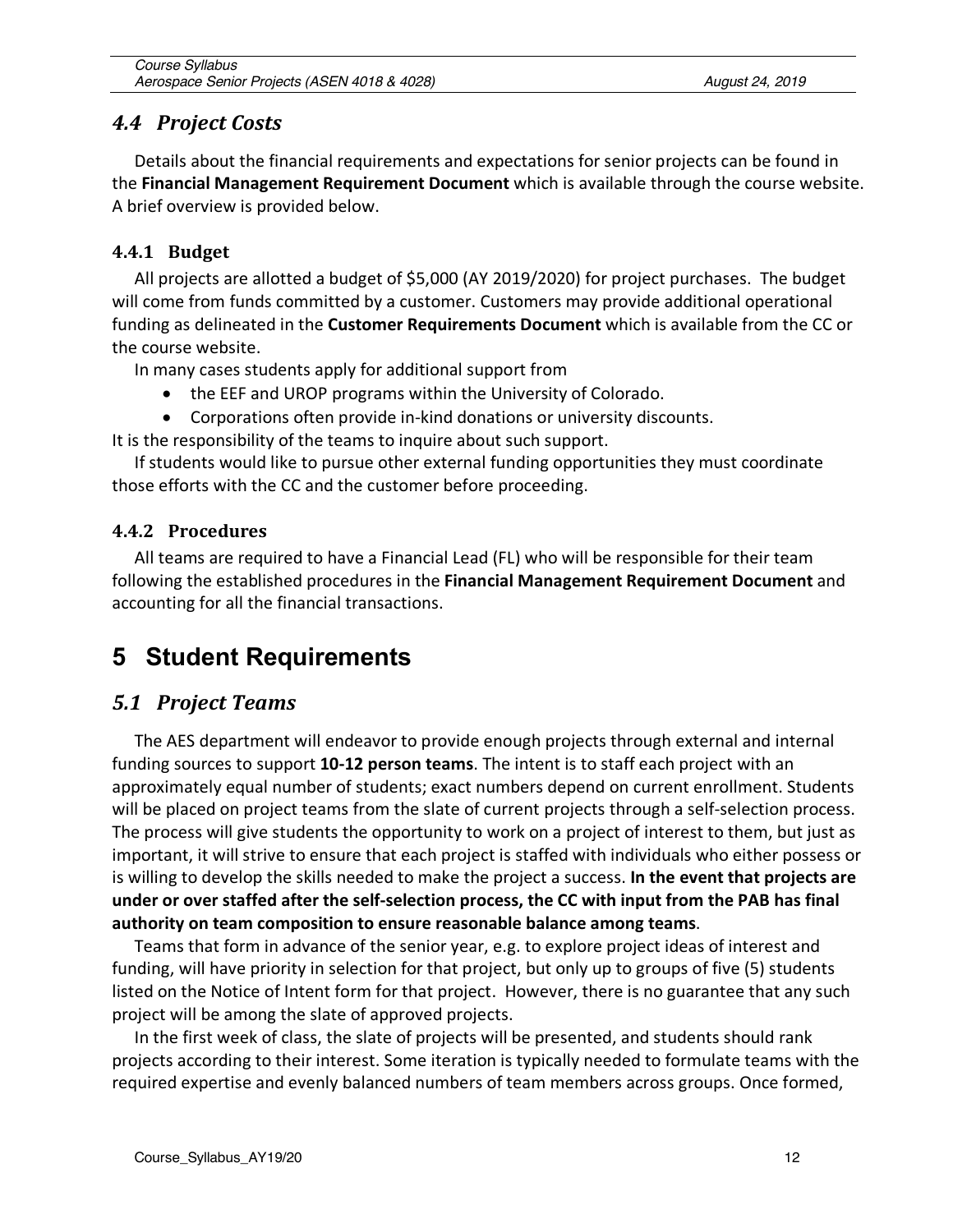### *4.4 Project Costs*

Details about the financial requirements and expectations for senior projects can be found in the **Financial Management Requirement Document** which is available through the course website. A brief overview is provided below.

#### **4.4.1 Budget**

All projects are allotted a budget of \$5,000 (AY 2019/2020) for project purchases. The budget will come from funds committed by a customer. Customers may provide additional operational funding as delineated in the **Customer Requirements Document** which is available from the CC or the course website.

In many cases students apply for additional support from

- the EEF and UROP programs within the University of Colorado.
- Corporations often provide in-kind donations or university discounts.

It is the responsibility of the teams to inquire about such support.

If students would like to pursue other external funding opportunities they must coordinate those efforts with the CC and the customer before proceeding.

#### **4.4.2 Procedures**

All teams are required to have a Financial Lead (FL) who will be responsible for their team following the established procedures in the **Financial Management Requirement Document** and accounting for all the financial transactions.

# **5 Student Requirements**

# *5.1 Project Teams*

The AES department will endeavor to provide enough projects through external and internal funding sources to support **10-12 person teams**. The intent is to staff each project with an approximately equal number of students; exact numbers depend on current enrollment. Students will be placed on project teams from the slate of current projects through a self-selection process. The process will give students the opportunity to work on a project of interest to them, but just as important, it will strive to ensure that each project is staffed with individuals who either possess or is willing to develop the skills needed to make the project a success. **In the event that projects are under or over staffed after the self-selection process, the CC with input from the PAB has final authority on team composition to ensure reasonable balance among teams**.

Teams that form in advance of the senior year, e.g. to explore project ideas of interest and funding, will have priority in selection for that project, but only up to groups of five (5) students listed on the Notice of Intent form for that project. However, there is no guarantee that any such project will be among the slate of approved projects.

In the first week of class, the slate of projects will be presented, and students should rank projects according to their interest. Some iteration is typically needed to formulate teams with the required expertise and evenly balanced numbers of team members across groups. Once formed,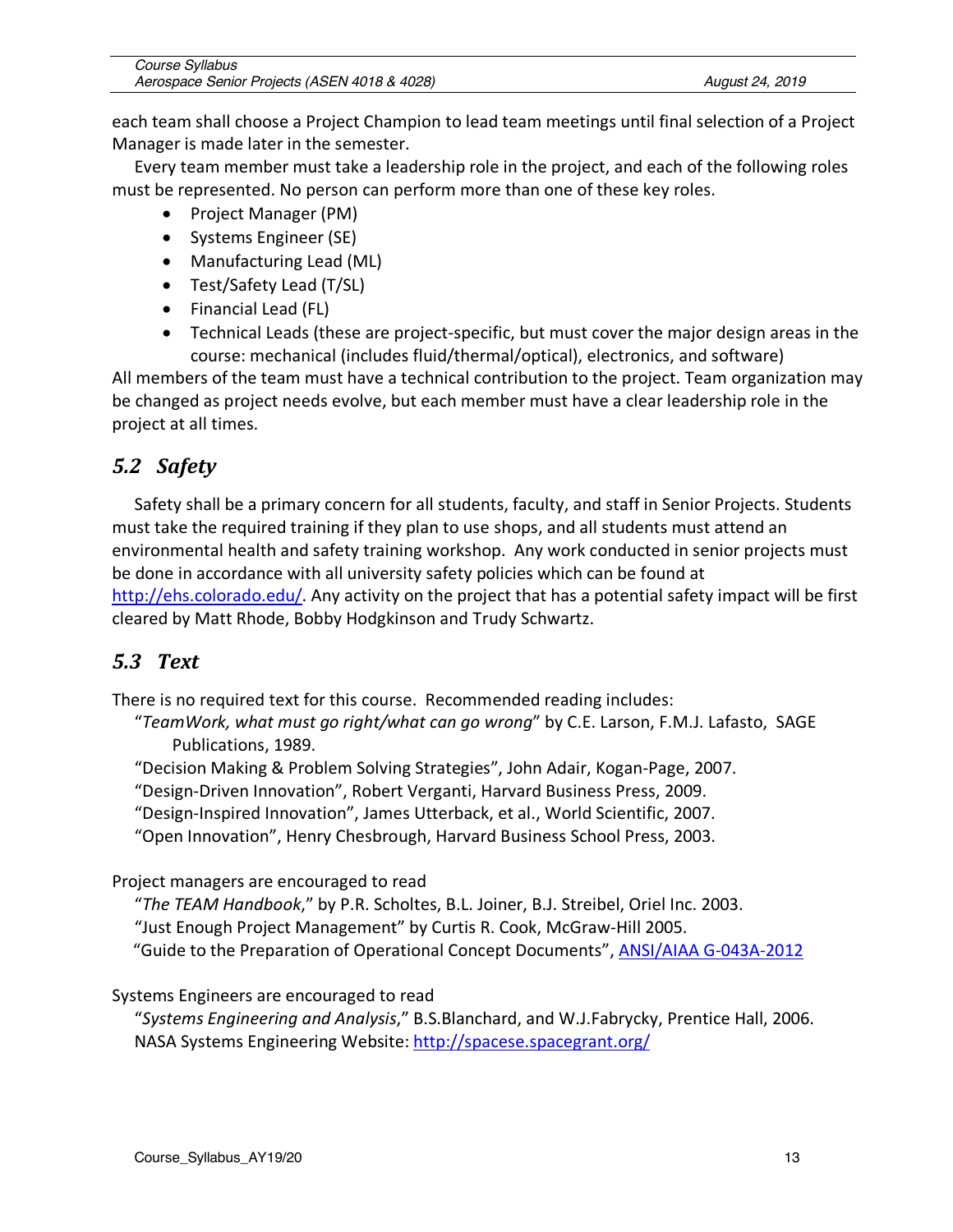| Course Syllabus                              |                 |
|----------------------------------------------|-----------------|
| Aerospace Senior Projects (ASEN 4018 & 4028) | August 24, 2019 |

each team shall choose a Project Champion to lead team meetings until final selection of a Project Manager is made later in the semester.

Every team member must take a leadership role in the project, and each of the following roles must be represented. No person can perform more than one of these key roles.

- Project Manager (PM)
- Systems Engineer (SE)
- Manufacturing Lead (ML)
- Test/Safety Lead (T/SL)
- Financial Lead (FL)
- Technical Leads (these are project-specific, but must cover the major design areas in the course: mechanical (includes fluid/thermal/optical), electronics, and software)

All members of the team must have a technical contribution to the project. Team organization may be changed as project needs evolve, but each member must have a clear leadership role in the project at all times.

# *5.2 Safety*

Safety shall be a primary concern for all students, faculty, and staff in Senior Projects. Students must take the required training if they plan to use shops, and all students must attend an environmental health and safety training workshop. Any work conducted in senior projects must be done in accordance with all university safety policies which can be found at http://ehs.colorado.edu/. Any activity on the project that has a potential safety impact will be first cleared by Matt Rhode, Bobby Hodgkinson and Trudy Schwartz.

# *5.3 Text*

There is no required text for this course. Recommended reading includes:

"*TeamWork, what must go right/what can go wrong*" by C.E. Larson, F.M.J. Lafasto, SAGE Publications, 1989.

"Decision Making & Problem Solving Strategies", John Adair, Kogan-Page, 2007.

"Design-Driven Innovation", Robert Verganti, Harvard Business Press, 2009.

"Design-Inspired Innovation", James Utterback, et al., World Scientific, 2007.

"Open Innovation", Henry Chesbrough, Harvard Business School Press, 2003.

Project managers are encouraged to read

"*The TEAM Handbook*," by P.R. Scholtes, B.L. Joiner, B.J. Streibel, Oriel Inc. 2003.

"Just Enough Project Management" by Curtis R. Cook, McGraw-Hill 2005.

"Guide to the Preparation of Operational Concept Documents", ANSI/AIAA G-043A-2012

Systems Engineers are encouraged to read

"*Systems Engineering and Analysis*," B.S.Blanchard, and W.J.Fabrycky, Prentice Hall, 2006. NASA Systems Engineering Website: http://spacese.spacegrant.org/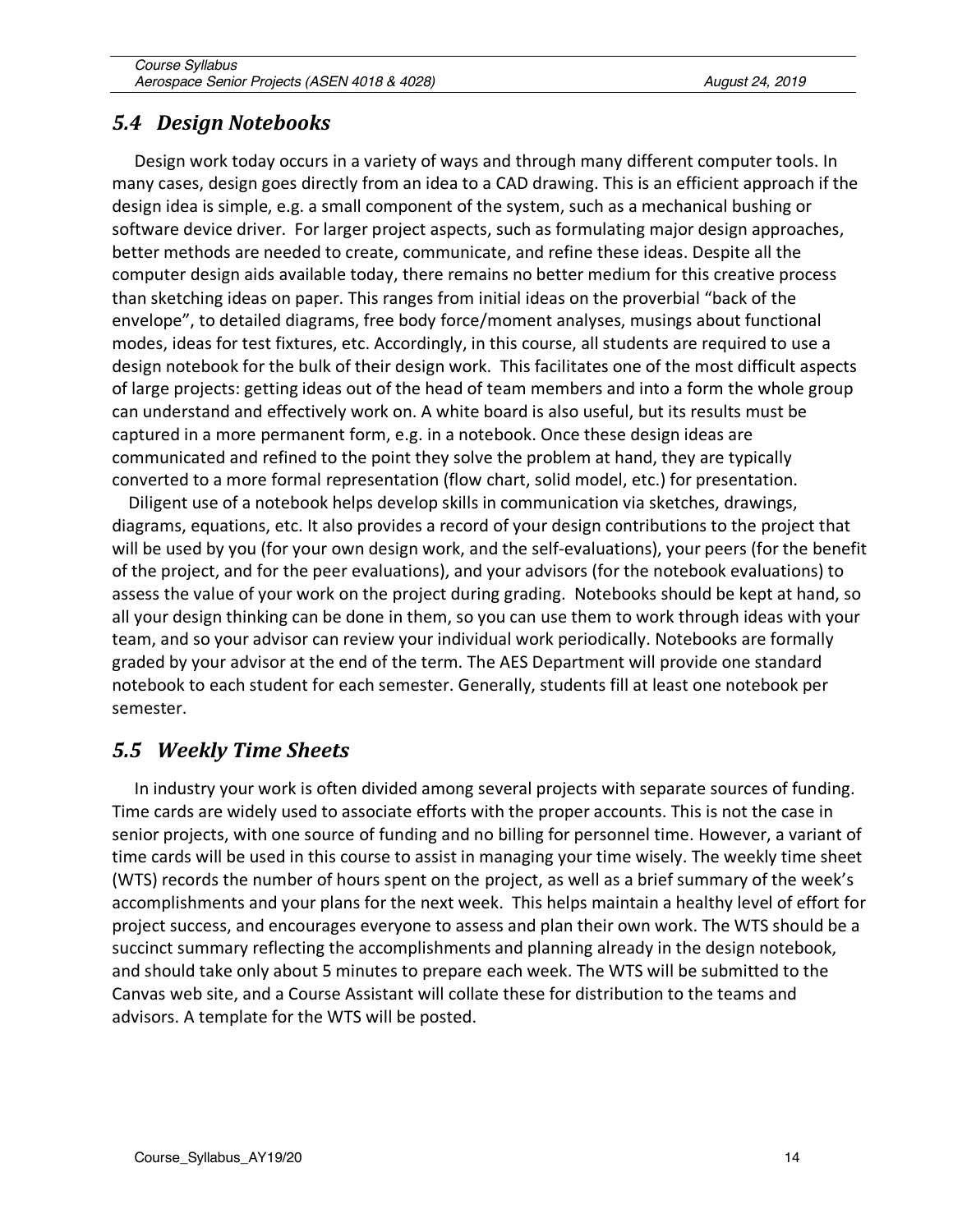### *5.4 Design Notebooks*

Design work today occurs in a variety of ways and through many different computer tools. In many cases, design goes directly from an idea to a CAD drawing. This is an efficient approach if the design idea is simple, e.g. a small component of the system, such as a mechanical bushing or software device driver. For larger project aspects, such as formulating major design approaches, better methods are needed to create, communicate, and refine these ideas. Despite all the computer design aids available today, there remains no better medium for this creative process than sketching ideas on paper. This ranges from initial ideas on the proverbial "back of the envelope", to detailed diagrams, free body force/moment analyses, musings about functional modes, ideas for test fixtures, etc. Accordingly, in this course, all students are required to use a design notebook for the bulk of their design work. This facilitates one of the most difficult aspects of large projects: getting ideas out of the head of team members and into a form the whole group can understand and effectively work on. A white board is also useful, but its results must be captured in a more permanent form, e.g. in a notebook. Once these design ideas are communicated and refined to the point they solve the problem at hand, they are typically converted to a more formal representation (flow chart, solid model, etc.) for presentation.

 Diligent use of a notebook helps develop skills in communication via sketches, drawings, diagrams, equations, etc. It also provides a record of your design contributions to the project that will be used by you (for your own design work, and the self-evaluations), your peers (for the benefit of the project, and for the peer evaluations), and your advisors (for the notebook evaluations) to assess the value of your work on the project during grading. Notebooks should be kept at hand, so all your design thinking can be done in them, so you can use them to work through ideas with your team, and so your advisor can review your individual work periodically. Notebooks are formally graded by your advisor at the end of the term. The AES Department will provide one standard notebook to each student for each semester. Generally, students fill at least one notebook per semester.

# *5.5 Weekly Time Sheets*

In industry your work is often divided among several projects with separate sources of funding. Time cards are widely used to associate efforts with the proper accounts. This is not the case in senior projects, with one source of funding and no billing for personnel time. However, a variant of time cards will be used in this course to assist in managing your time wisely. The weekly time sheet (WTS) records the number of hours spent on the project, as well as a brief summary of the week's accomplishments and your plans for the next week. This helps maintain a healthy level of effort for project success, and encourages everyone to assess and plan their own work. The WTS should be a succinct summary reflecting the accomplishments and planning already in the design notebook, and should take only about 5 minutes to prepare each week. The WTS will be submitted to the Canvas web site, and a Course Assistant will collate these for distribution to the teams and advisors. A template for the WTS will be posted.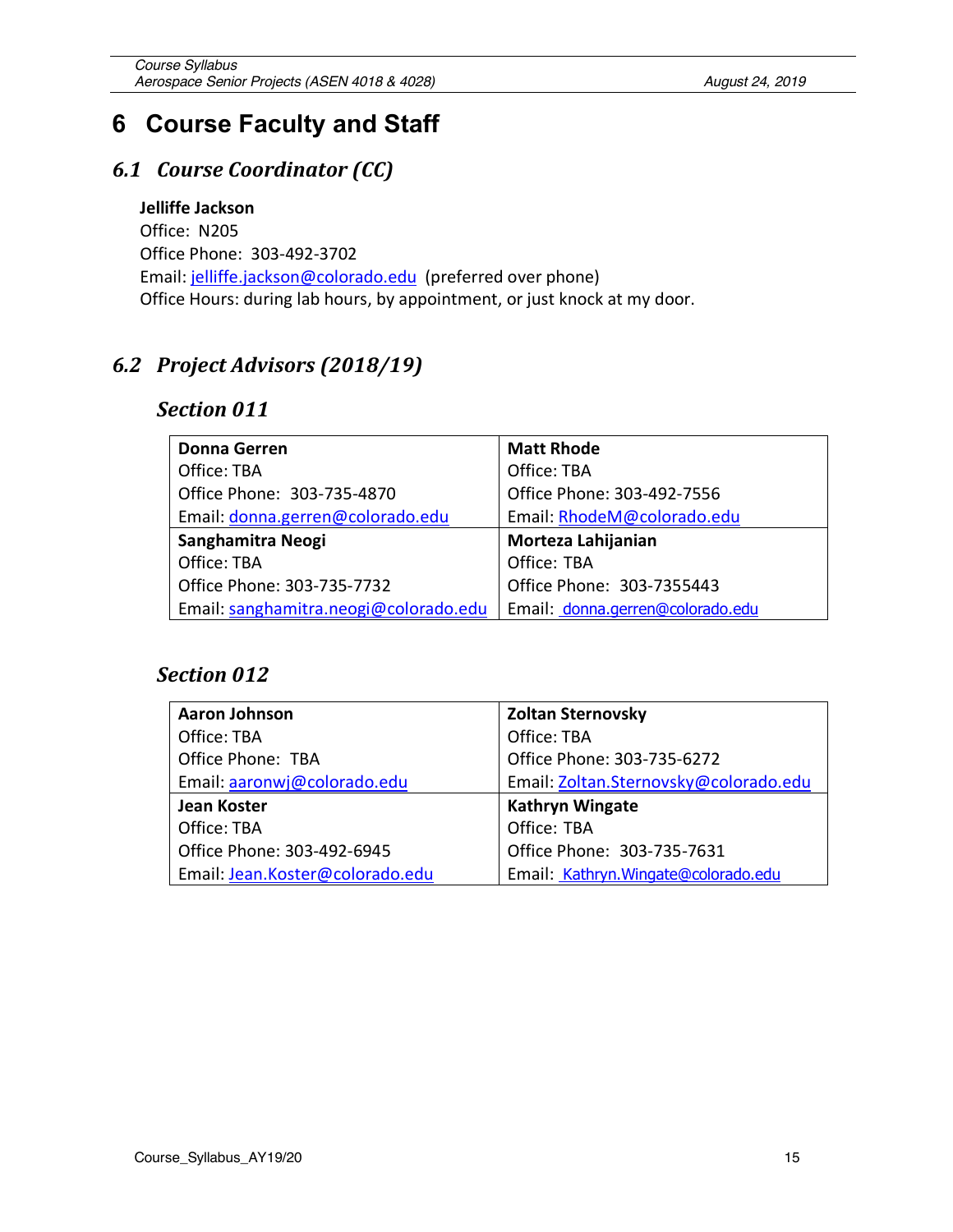# **6 Course Faculty and Staff**

# *6.1 Course Coordinator (CC)*

**Jelliffe Jackson** Office: N205 Office Phone: 303-492-3702 Email: jelliffe.jackson@colorado.edu (preferred over phone) Office Hours: during lab hours, by appointment, or just knock at my door.

# *6.2 Project Advisors (2018/19)*

#### *Section 011*

| <b>Donna Gerren</b>                   | <b>Matt Rhode</b>                |
|---------------------------------------|----------------------------------|
| Office: TBA                           | Office: TBA                      |
| Office Phone: 303-735-4870            | Office Phone: 303-492-7556       |
| Email: donna.gerren@colorado.edu      | Email: RhodeM@colorado.edu       |
| Sanghamitra Neogi                     | Morteza Lahijanian               |
| Office: TBA                           | Office: TBA                      |
| Office Phone: 303-735-7732            | Office Phone: 303-7355443        |
| Email: sanghamitra.neogi@colorado.edu | Email: donna.gerren@colorado.edu |

#### *Section 012*

| <b>Aaron Johnson</b>            | <b>Zoltan Sternovsky</b>              |
|---------------------------------|---------------------------------------|
| Office: TBA                     | Office: TBA                           |
| Office Phone: TBA               | Office Phone: 303-735-6272            |
| Email: aaronwj@colorado.edu     | Email: Zoltan.Sternovsky@colorado.edu |
| Jean Koster                     | <b>Kathryn Wingate</b>                |
| Office: TBA                     | Office: TBA                           |
| Office Phone: 303-492-6945      | Office Phone: 303-735-7631            |
| Email: Jean.Koster@colorado.edu | Email: Kathryn. Wingate@colorado.edu  |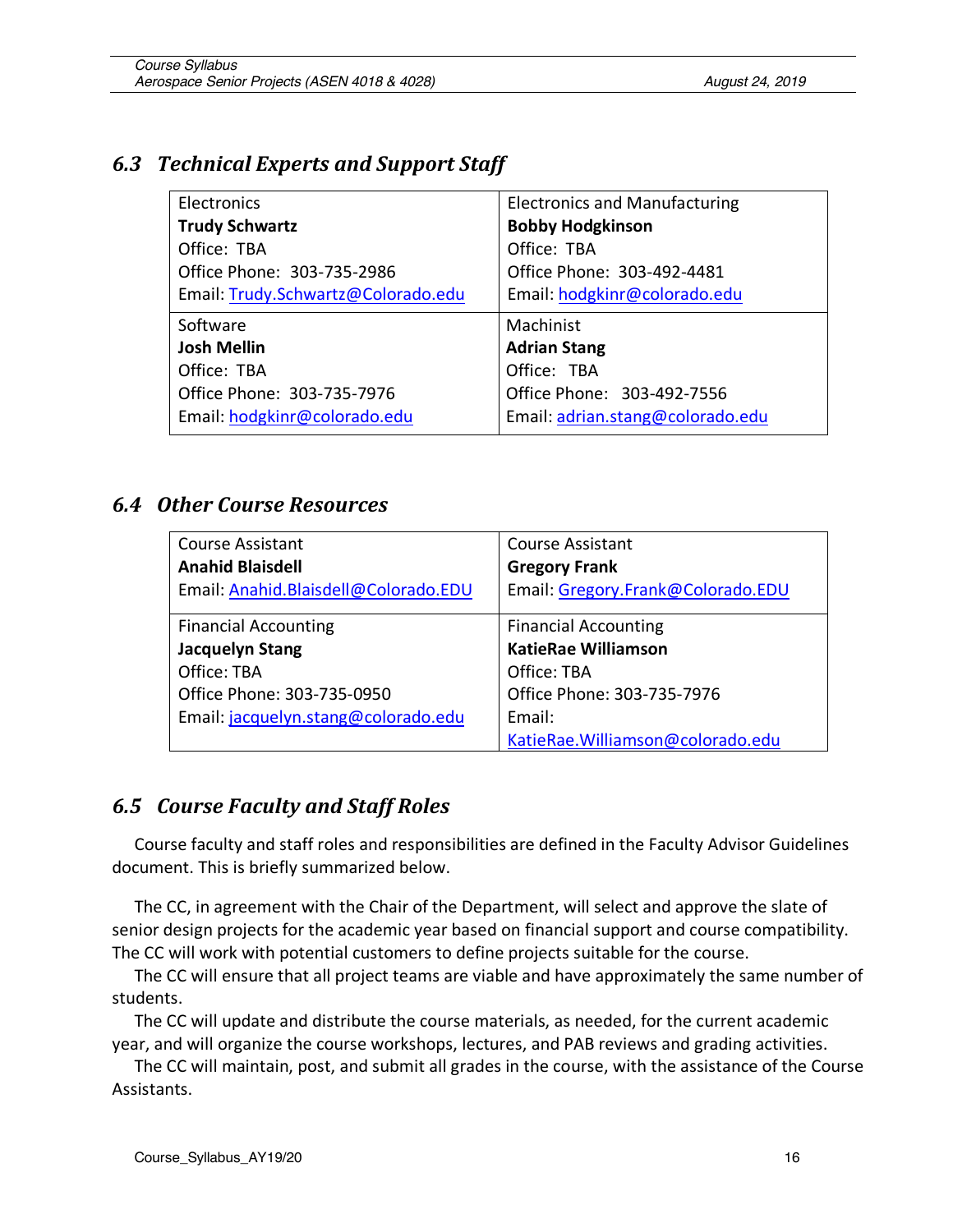# *6.3 Technical Experts and Support Staff*

| <b>Electronics</b>                 | <b>Electronics and Manufacturing</b> |
|------------------------------------|--------------------------------------|
| <b>Trudy Schwartz</b>              | <b>Bobby Hodgkinson</b>              |
| Office: TBA                        | Office: TBA                          |
| Office Phone: 303-735-2986         | Office Phone: 303-492-4481           |
| Email: Trudy.Schwartz@Colorado.edu | Email: hodgkinr@colorado.edu         |
| Software                           | Machinist                            |
|                                    |                                      |
| <b>Josh Mellin</b>                 | <b>Adrian Stang</b>                  |
| Office: TBA                        | Office: TBA                          |
| Office Phone: 303-735-7976         | Office Phone: 303-492-7556           |
| Email: hodgkinr@colorado.edu       | Email: adrian.stang@colorado.edu     |

### *6.4 Other Course Resources*

| <b>Course Assistant</b>              | <b>Course Assistant</b>           |
|--------------------------------------|-----------------------------------|
| <b>Anahid Blaisdell</b>              | <b>Gregory Frank</b>              |
| Email: Anahid.Blaisdell@Colorado.EDU | Email: Gregory.Frank@Colorado.EDU |
|                                      |                                   |
| <b>Financial Accounting</b>          | <b>Financial Accounting</b>       |
| <b>Jacquelyn Stang</b>               | <b>KatieRae Williamson</b>        |
| Office: TBA                          | Office: TBA                       |
| Office Phone: 303-735-0950           | Office Phone: 303-735-7976        |
| Email: jacquelyn.stang@colorado.edu  | Email:                            |
|                                      | KatieRae.Williamson@colorado.edu  |

# *6.5 Course Faculty and Staff Roles*

Course faculty and staff roles and responsibilities are defined in the Faculty Advisor Guidelines document. This is briefly summarized below.

The CC, in agreement with the Chair of the Department, will select and approve the slate of senior design projects for the academic year based on financial support and course compatibility. The CC will work with potential customers to define projects suitable for the course.

The CC will ensure that all project teams are viable and have approximately the same number of students.

The CC will update and distribute the course materials, as needed, for the current academic year, and will organize the course workshops, lectures, and PAB reviews and grading activities.

The CC will maintain, post, and submit all grades in the course, with the assistance of the Course Assistants.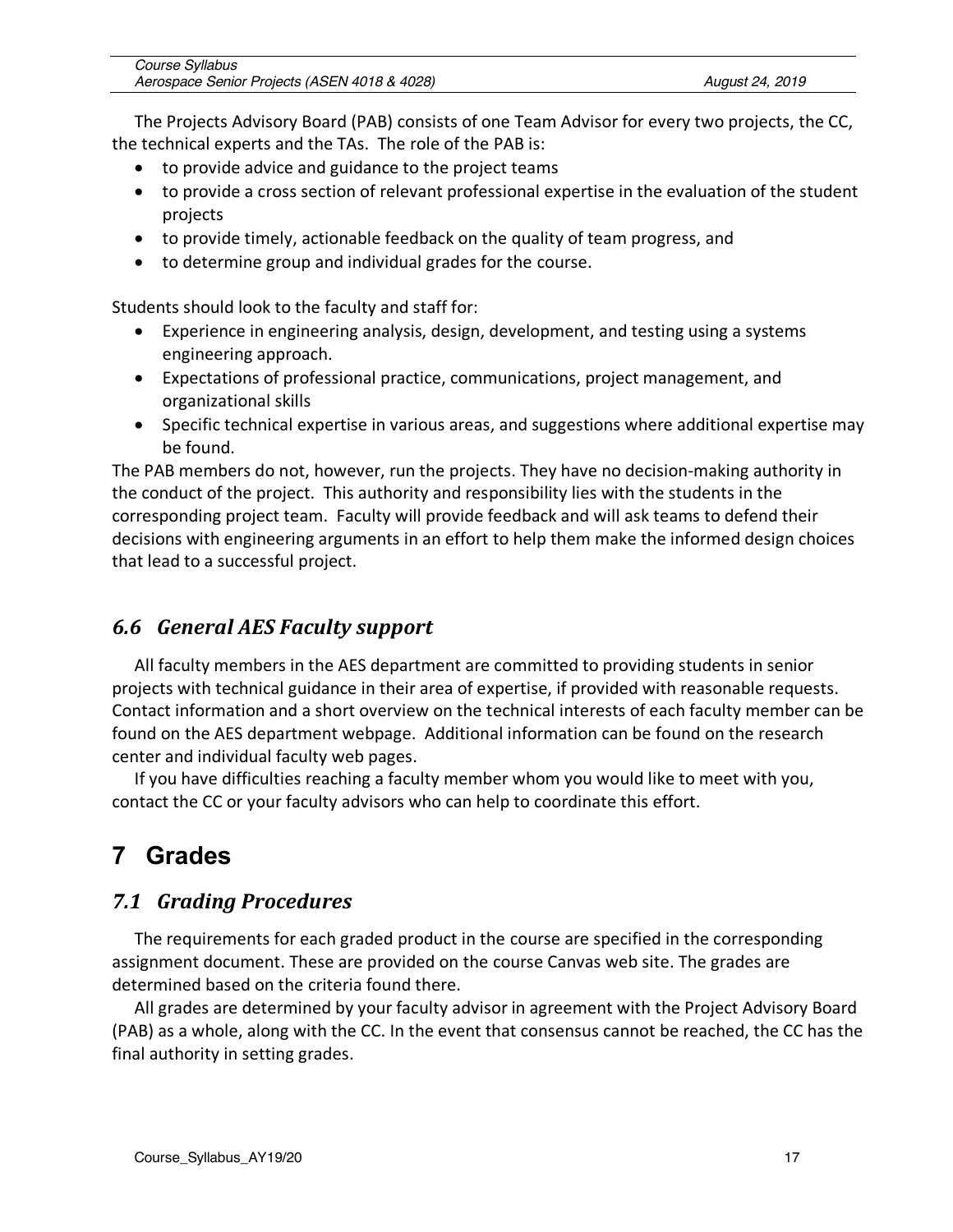| Course Syllabus                              |  |
|----------------------------------------------|--|
| Aerospace Senior Projects (ASEN 4018 & 4028) |  |

The Projects Advisory Board (PAB) consists of one Team Advisor for every two projects, the CC, the technical experts and the TAs. The role of the PAB is:

- to provide advice and guidance to the project teams
- to provide a cross section of relevant professional expertise in the evaluation of the student projects
- to provide timely, actionable feedback on the quality of team progress, and
- to determine group and individual grades for the course.

Students should look to the faculty and staff for:

- Experience in engineering analysis, design, development, and testing using a systems engineering approach.
- Expectations of professional practice, communications, project management, and organizational skills
- Specific technical expertise in various areas, and suggestions where additional expertise may be found.

The PAB members do not, however, run the projects. They have no decision-making authority in the conduct of the project. This authority and responsibility lies with the students in the corresponding project team. Faculty will provide feedback and will ask teams to defend their decisions with engineering arguments in an effort to help them make the informed design choices that lead to a successful project.

### *6.6 General AES Faculty support*

All faculty members in the AES department are committed to providing students in senior projects with technical guidance in their area of expertise, if provided with reasonable requests. Contact information and a short overview on the technical interests of each faculty member can be found on the AES department webpage. Additional information can be found on the research center and individual faculty web pages.

If you have difficulties reaching a faculty member whom you would like to meet with you, contact the CC or your faculty advisors who can help to coordinate this effort.

# **7 Grades**

# *7.1 Grading Procedures*

The requirements for each graded product in the course are specified in the corresponding assignment document. These are provided on the course Canvas web site. The grades are determined based on the criteria found there.

All grades are determined by your faculty advisor in agreement with the Project Advisory Board (PAB) as a whole, along with the CC. In the event that consensus cannot be reached, the CC has the final authority in setting grades.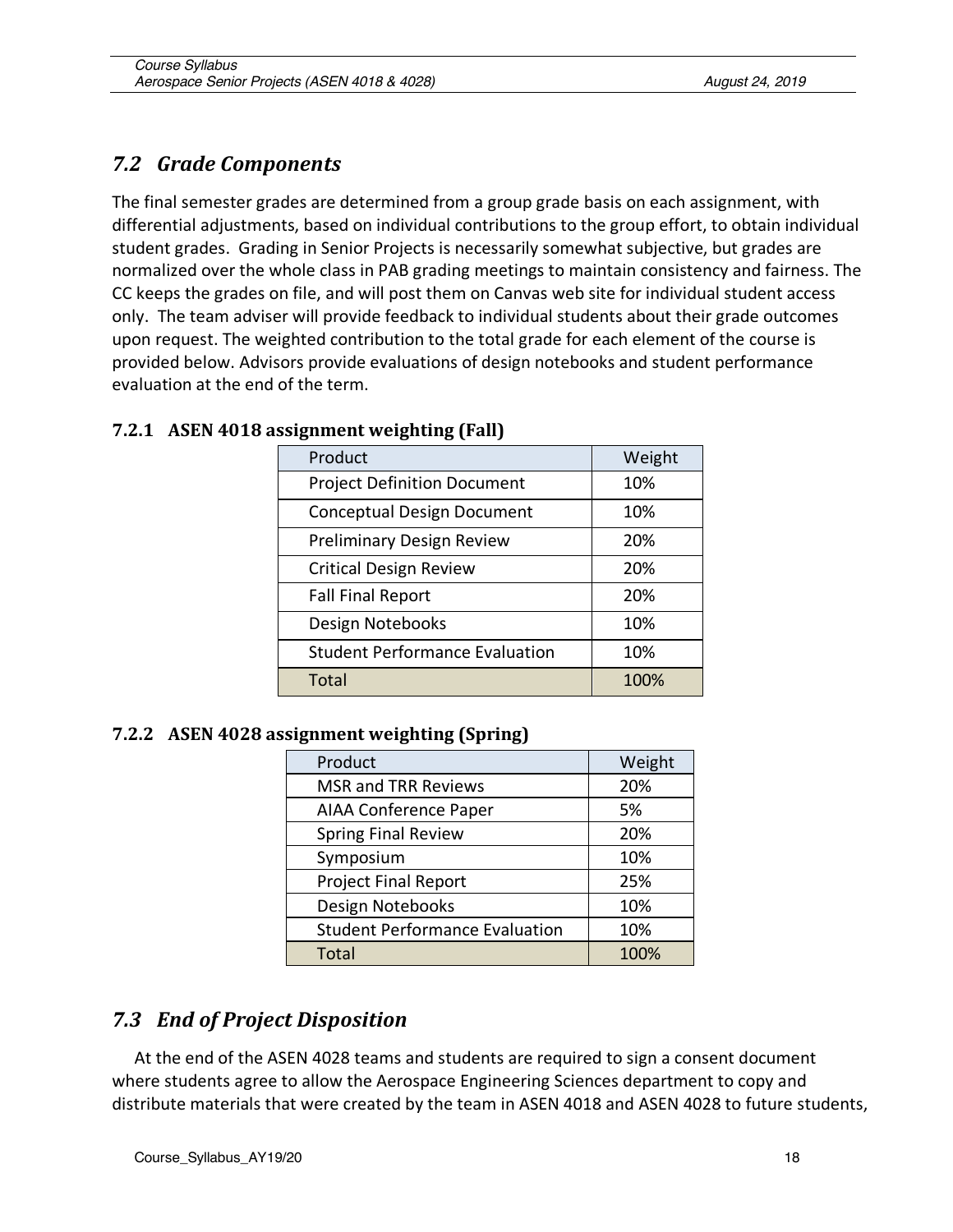# *7.2 Grade Components*

The final semester grades are determined from a group grade basis on each assignment, with differential adjustments, based on individual contributions to the group effort, to obtain individual student grades. Grading in Senior Projects is necessarily somewhat subjective, but grades are normalized over the whole class in PAB grading meetings to maintain consistency and fairness. The CC keeps the grades on file, and will post them on Canvas web site for individual student access only. The team adviser will provide feedback to individual students about their grade outcomes upon request. The weighted contribution to the total grade for each element of the course is provided below. Advisors provide evaluations of design notebooks and student performance evaluation at the end of the term.

| Product                               | Weight |
|---------------------------------------|--------|
| <b>Project Definition Document</b>    | 10%    |
| <b>Conceptual Design Document</b>     | 10%    |
| <b>Preliminary Design Review</b>      | 20%    |
| <b>Critical Design Review</b>         | 20%    |
| <b>Fall Final Report</b>              | 20%    |
| Design Notebooks                      | 10%    |
| <b>Student Performance Evaluation</b> | 10%    |
| Total                                 | 100%   |

#### **7.2.1 ASEN 4018 assignment weighting (Fall)**

#### **7.2.2 ASEN 4028 assignment weighting (Spring)**

| Product                               | Weight |
|---------------------------------------|--------|
| <b>MSR and TRR Reviews</b>            | 20%    |
| <b>AIAA Conference Paper</b>          | 5%     |
| <b>Spring Final Review</b>            | 20%    |
| Symposium                             | 10%    |
| <b>Project Final Report</b>           | 25%    |
| Design Notebooks                      | 10%    |
| <b>Student Performance Evaluation</b> | 10%    |
| <b>Total</b>                          | 100%   |

### *7.3 End of Project Disposition*

At the end of the ASEN 4028 teams and students are required to sign a consent document where students agree to allow the Aerospace Engineering Sciences department to copy and distribute materials that were created by the team in ASEN 4018 and ASEN 4028 to future students,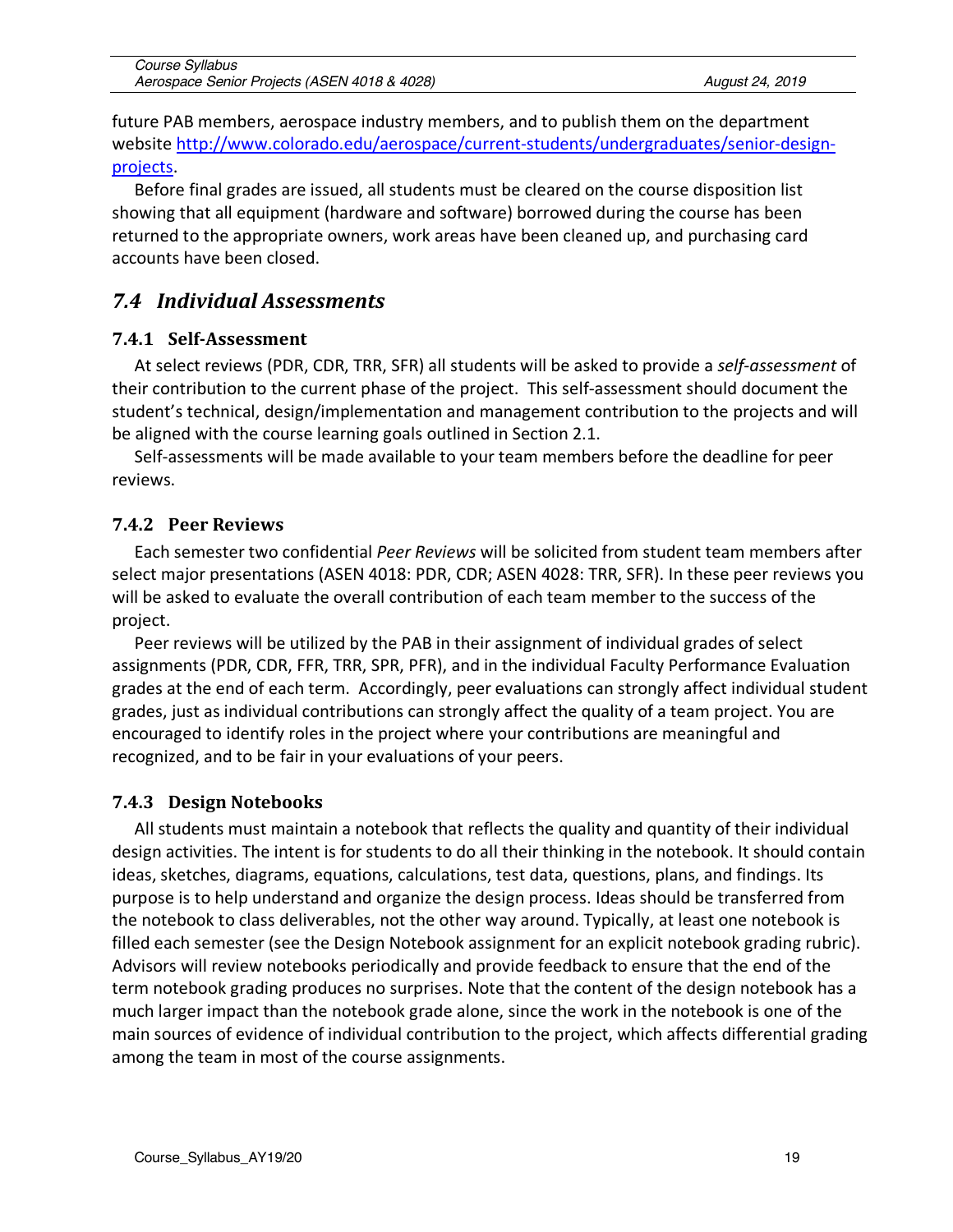| Course Syllabus                              |  |
|----------------------------------------------|--|
| Aerospace Senior Projects (ASEN 4018 & 4028) |  |

future PAB members, aerospace industry members, and to publish them on the department website http://www.colorado.edu/aerospace/current-students/undergraduates/senior-designprojects.

Before final grades are issued, all students must be cleared on the course disposition list showing that all equipment (hardware and software) borrowed during the course has been returned to the appropriate owners, work areas have been cleaned up, and purchasing card accounts have been closed.

# *7.4 Individual Assessments*

#### **7.4.1 Self-Assessment**

At select reviews (PDR, CDR, TRR, SFR) all students will be asked to provide a *self-assessment* of their contribution to the current phase of the project. This self-assessment should document the student's technical, design/implementation and management contribution to the projects and will be aligned with the course learning goals outlined in Section 2.1.

Self-assessments will be made available to your team members before the deadline for peer reviews.

#### **7.4.2 Peer Reviews**

Each semester two confidential *Peer Reviews* will be solicited from student team members after select major presentations (ASEN 4018: PDR, CDR; ASEN 4028: TRR, SFR). In these peer reviews you will be asked to evaluate the overall contribution of each team member to the success of the project.

Peer reviews will be utilized by the PAB in their assignment of individual grades of select assignments (PDR, CDR, FFR, TRR, SPR, PFR), and in the individual Faculty Performance Evaluation grades at the end of each term. Accordingly, peer evaluations can strongly affect individual student grades, just as individual contributions can strongly affect the quality of a team project. You are encouraged to identify roles in the project where your contributions are meaningful and recognized, and to be fair in your evaluations of your peers.

#### **7.4.3 Design Notebooks**

All students must maintain a notebook that reflects the quality and quantity of their individual design activities. The intent is for students to do all their thinking in the notebook. It should contain ideas, sketches, diagrams, equations, calculations, test data, questions, plans, and findings. Its purpose is to help understand and organize the design process. Ideas should be transferred from the notebook to class deliverables, not the other way around. Typically, at least one notebook is filled each semester (see the Design Notebook assignment for an explicit notebook grading rubric). Advisors will review notebooks periodically and provide feedback to ensure that the end of the term notebook grading produces no surprises. Note that the content of the design notebook has a much larger impact than the notebook grade alone, since the work in the notebook is one of the main sources of evidence of individual contribution to the project, which affects differential grading among the team in most of the course assignments.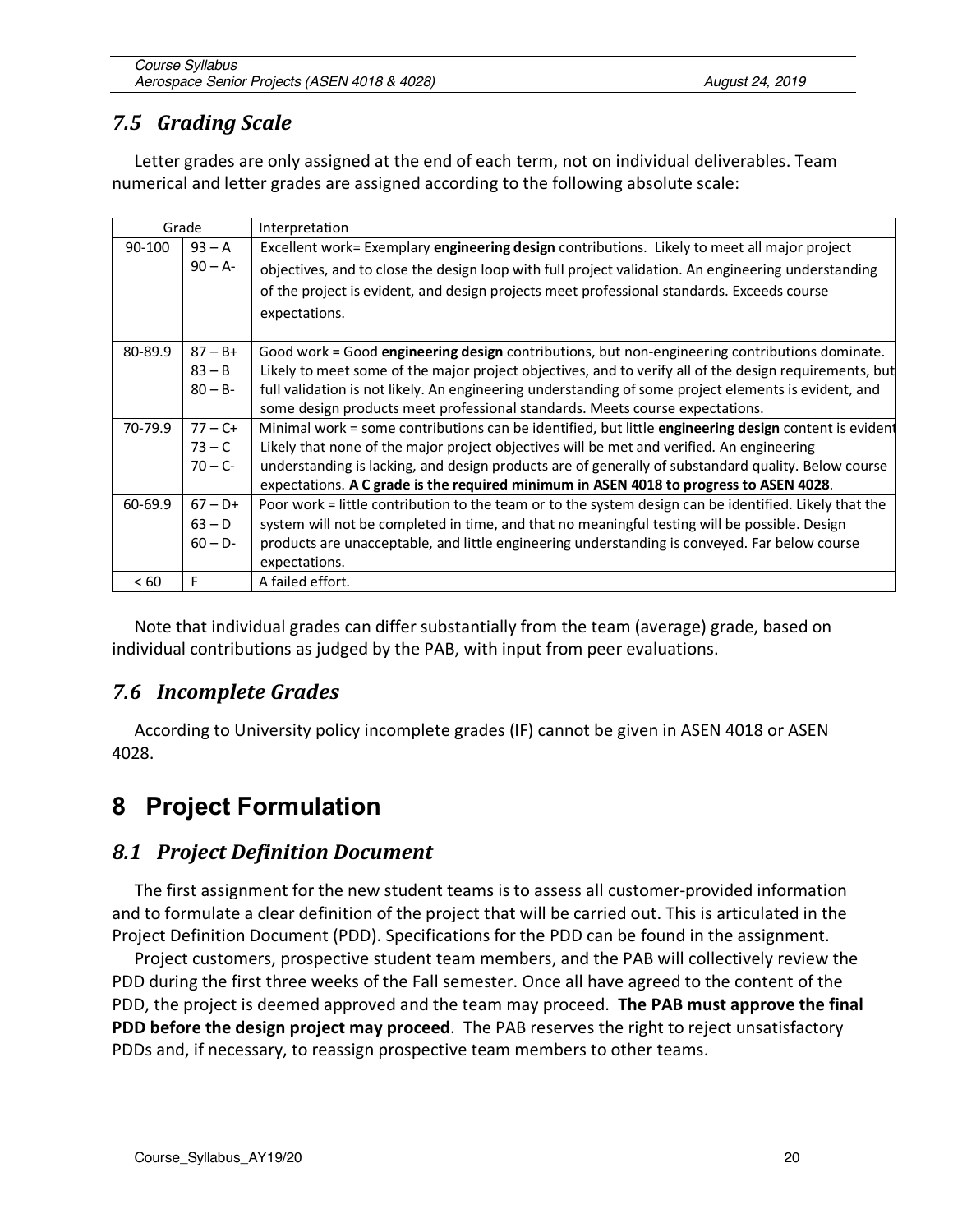# *7.5 Grading Scale*

Letter grades are only assigned at the end of each term, not on individual deliverables. Team numerical and letter grades are assigned according to the following absolute scale:

|            | Grade      | Interpretation                                                                                         |
|------------|------------|--------------------------------------------------------------------------------------------------------|
| $90 - 100$ | $93 - A$   | Excellent work= Exemplary engineering design contributions. Likely to meet all major project           |
|            | $90 - A$ - | objectives, and to close the design loop with full project validation. An engineering understanding    |
|            |            | of the project is evident, and design projects meet professional standards. Exceeds course             |
|            |            | expectations.                                                                                          |
|            |            |                                                                                                        |
| 80-89.9    | $87 - B +$ | Good work = Good engineering design contributions, but non-engineering contributions dominate.         |
|            | $83 - B$   | Likely to meet some of the major project objectives, and to verify all of the design requirements, but |
|            | $80 - B -$ | full validation is not likely. An engineering understanding of some project elements is evident, and   |
|            |            | some design products meet professional standards. Meets course expectations.                           |
| 70-79.9    | $77 - C +$ | Minimal work = some contributions can be identified, but little engineering design content is evident  |
|            | $73 - C$   | Likely that none of the major project objectives will be met and verified. An engineering              |
|            | $70 - C -$ | understanding is lacking, and design products are of generally of substandard quality. Below course    |
|            |            | expectations. A C grade is the required minimum in ASEN 4018 to progress to ASEN 4028.                 |
| 60-69.9    | $67 - D+$  | Poor work = little contribution to the team or to the system design can be identified. Likely that the |
|            | $63 - D$   | system will not be completed in time, and that no meaningful testing will be possible. Design          |
|            | $60 - D -$ | products are unacceptable, and little engineering understanding is conveyed. Far below course          |
|            |            | expectations.                                                                                          |
| < 60       | F          | A failed effort.                                                                                       |

Note that individual grades can differ substantially from the team (average) grade, based on individual contributions as judged by the PAB, with input from peer evaluations.

# *7.6 Incomplete Grades*

According to University policy incomplete grades (IF) cannot be given in ASEN 4018 or ASEN 4028.

# **8 Project Formulation**

# *8.1 Project Definition Document*

The first assignment for the new student teams is to assess all customer-provided information and to formulate a clear definition of the project that will be carried out. This is articulated in the Project Definition Document (PDD). Specifications for the PDD can be found in the assignment.

Project customers, prospective student team members, and the PAB will collectively review the PDD during the first three weeks of the Fall semester. Once all have agreed to the content of the PDD, the project is deemed approved and the team may proceed. **The PAB must approve the final PDD before the design project may proceed**. The PAB reserves the right to reject unsatisfactory PDDs and, if necessary, to reassign prospective team members to other teams.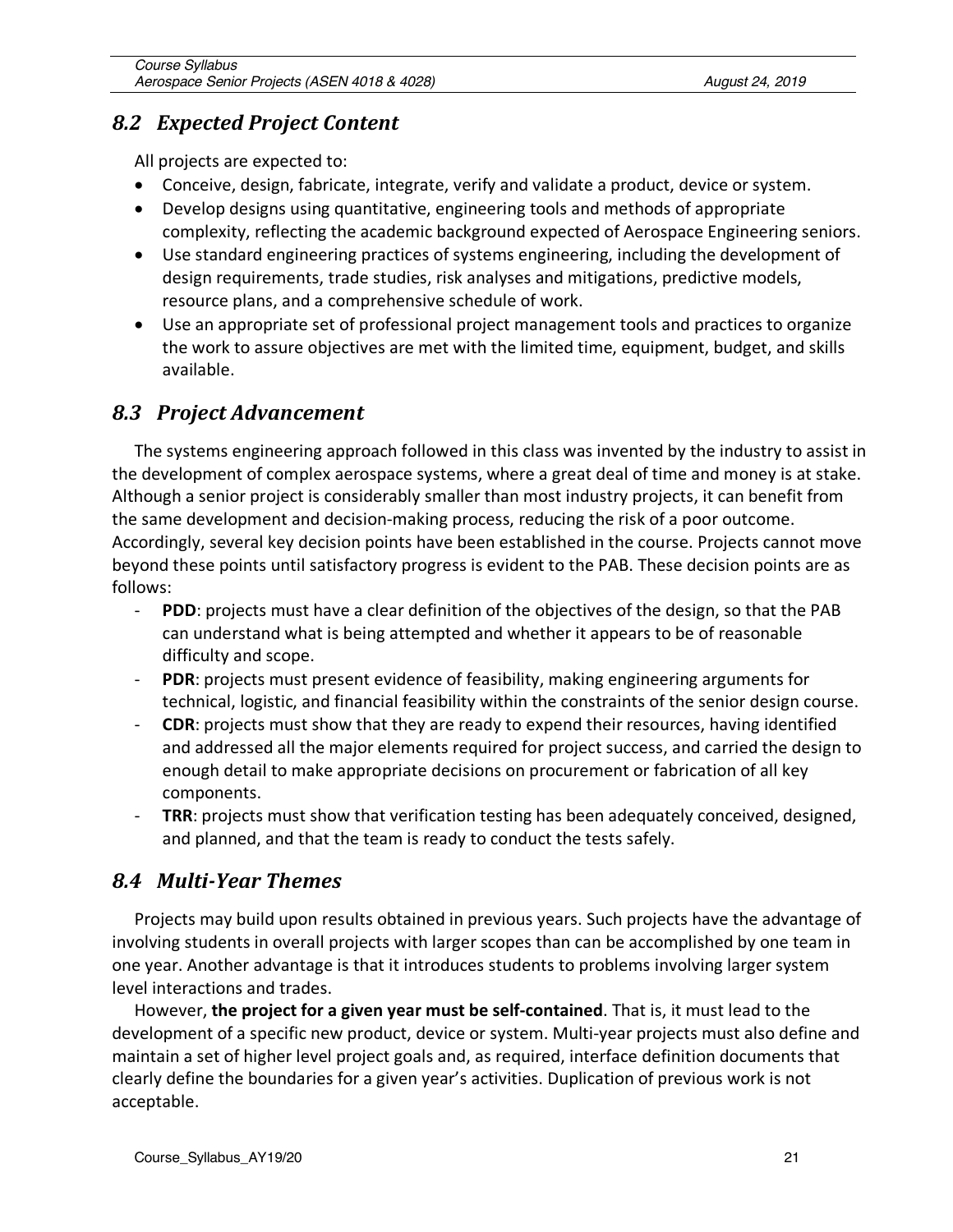### *8.2 Expected Project Content*

All projects are expected to:

- Conceive, design, fabricate, integrate, verify and validate a product, device or system.
- Develop designs using quantitative, engineering tools and methods of appropriate complexity, reflecting the academic background expected of Aerospace Engineering seniors.
- Use standard engineering practices of systems engineering, including the development of design requirements, trade studies, risk analyses and mitigations, predictive models, resource plans, and a comprehensive schedule of work.
- Use an appropriate set of professional project management tools and practices to organize the work to assure objectives are met with the limited time, equipment, budget, and skills available.

# *8.3 Project Advancement*

The systems engineering approach followed in this class was invented by the industry to assist in the development of complex aerospace systems, where a great deal of time and money is at stake. Although a senior project is considerably smaller than most industry projects, it can benefit from the same development and decision-making process, reducing the risk of a poor outcome. Accordingly, several key decision points have been established in the course. Projects cannot move beyond these points until satisfactory progress is evident to the PAB. These decision points are as follows:

- **PDD**: projects must have a clear definition of the objectives of the design, so that the PAB can understand what is being attempted and whether it appears to be of reasonable difficulty and scope.
- **PDR**: projects must present evidence of feasibility, making engineering arguments for technical, logistic, and financial feasibility within the constraints of the senior design course.
- **CDR**: projects must show that they are ready to expend their resources, having identified and addressed all the major elements required for project success, and carried the design to enough detail to make appropriate decisions on procurement or fabrication of all key components.
- **TRR**: projects must show that verification testing has been adequately conceived, designed, and planned, and that the team is ready to conduct the tests safely.

# *8.4 Multi-Year Themes*

Projects may build upon results obtained in previous years. Such projects have the advantage of involving students in overall projects with larger scopes than can be accomplished by one team in one year. Another advantage is that it introduces students to problems involving larger system level interactions and trades.

However, **the project for a given year must be self-contained**. That is, it must lead to the development of a specific new product, device or system. Multi-year projects must also define and maintain a set of higher level project goals and, as required, interface definition documents that clearly define the boundaries for a given year's activities. Duplication of previous work is not acceptable.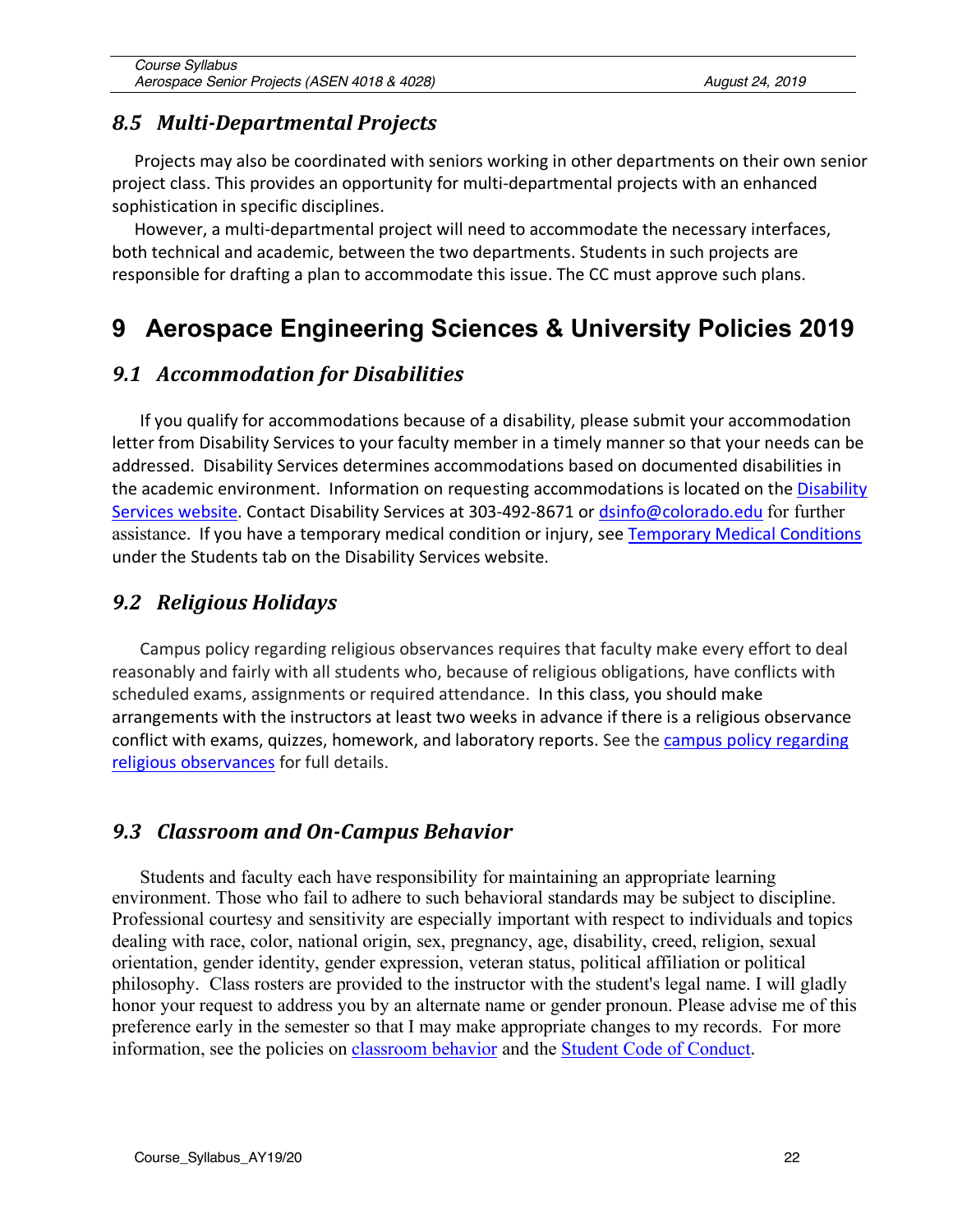### *8.5 Multi-Departmental Projects*

Projects may also be coordinated with seniors working in other departments on their own senior project class. This provides an opportunity for multi-departmental projects with an enhanced sophistication in specific disciplines.

However, a multi-departmental project will need to accommodate the necessary interfaces, both technical and academic, between the two departments. Students in such projects are responsible for drafting a plan to accommodate this issue. The CC must approve such plans.

# **9 Aerospace Engineering Sciences & University Policies 2019**

### *9.1 Accommodation for Disabilities*

If you qualify for accommodations because of a disability, please submit your accommodation letter from Disability Services to your faculty member in a timely manner so that your needs can be addressed. Disability Services determines accommodations based on documented disabilities in the academic environment. Information on requesting accommodations is located on the Disability Services website. Contact Disability Services at 303-492-8671 or dsinfo@colorado.edu for further assistance. If you have a temporary medical condition or injury, see Temporary Medical Conditions under the Students tab on the Disability Services website.

# *9.2 Religious Holidays*

Campus policy regarding religious observances requires that faculty make every effort to deal reasonably and fairly with all students who, because of religious obligations, have conflicts with scheduled exams, assignments or required attendance. In this class, you should make arrangements with the instructors at least two weeks in advance if there is a religious observance conflict with exams, quizzes, homework, and laboratory reports. See the campus policy regarding religious observances for full details.

#### *9.3 Classroom and On-Campus Behavior*

Students and faculty each have responsibility for maintaining an appropriate learning environment. Those who fail to adhere to such behavioral standards may be subject to discipline. Professional courtesy and sensitivity are especially important with respect to individuals and topics dealing with race, color, national origin, sex, pregnancy, age, disability, creed, religion, sexual orientation, gender identity, gender expression, veteran status, political affiliation or political philosophy. Class rosters are provided to the instructor with the student's legal name. I will gladly honor your request to address you by an alternate name or gender pronoun. Please advise me of this preference early in the semester so that I may make appropriate changes to my records. For more information, see the policies on classroom behavior and the Student Code of Conduct.